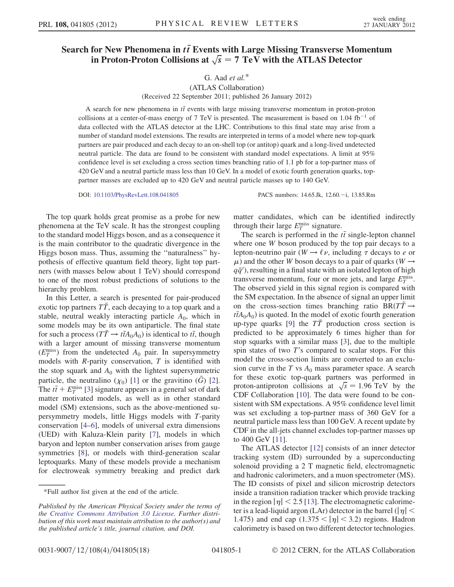## Search for New Phenomena in  $t\bar{t}$  Events with Large Missing Transverse Momentum in Proton-Proton Collisions at  $\sqrt{s} = 7 \text{ TeV}$  with the ATLAS Detector

## G. Aad  $et$  al. $*$ (ATLAS Collaboration) (Received 22 September 2011; published 26 January 2012)

A search for new phenomena in  $t\bar{t}$  events with large missing transverse momentum in proton-proton collisions at a center-of-mass energy of 7 TeV is presented. The measurement is based on 1.04  $fb^{-1}$  of data collected with the ATLAS detector at the LHC. Contributions to this final state may arise from a number of standard model extensions. The results are interpreted in terms of a model where new top-quark partners are pair produced and each decay to an on-shell top (or antitop) quark and a long-lived undetected neutral particle. The data are found to be consistent with standard model expectations. A limit at 95% confidence level is set excluding a cross section times branching ratio of 1.1 pb for a top-partner mass of 420 GeV and a neutral particle mass less than 10 GeV. In a model of exotic fourth generation quarks, toppartner masses are excluded up to 420 GeV and neutral particle masses up to 140 GeV.

DOI: [10.1103/PhysRevLett.108.041805](http://dx.doi.org/10.1103/PhysRevLett.108.041805) PACS numbers: 14.65.Jk, 12.60.-i, 13.85.Rm

The top quark holds great promise as a probe for new phenomena at the TeV scale. It has the strongest coupling to the standard model Higgs boson, and as a consequence it is the main contributor to the quadratic divergence in the Higgs boson mass. Thus, assuming the ''naturalness'' hypothesis of effective quantum field theory, light top partners (with masses below about 1 TeV) should correspond to one of the most robust predictions of solutions to the hierarchy problem.

In this Letter, a search is presented for pair-produced exotic top partners  $T\bar{T}$ , each decaying to a top quark and a stable, neutral weakly interacting particle  $A_0$ , which in some models may be its own antiparticle. The final state for such a process  $(T\bar{T} \to t\bar{t}A_0A_0)$  is identical to  $t\bar{t}$ , though with a larger amount of missing transverse momentum  $(E_T^{\text{miss}})$  from the undetected  $A_0$  pair. In supersymmetry models with  $R$ -parity conservation,  $T$  is identified with the stop squark and  $A_0$  with the lightest supersymmetric particle, the neutralino  $(\chi_0)$  [\[1](#page-4-0)] or the gravitino  $(\tilde{G})$  [[2\]](#page-4-1). The  $t\bar{t}$  +  $E_T^{\text{miss}}$  [\[3](#page-4-2)] signature appears in a general set of dark matter motivated models, as well as in other standard model (SM) extensions, such as the above-mentioned supersymmetry models, little Higgs models with T-parity conservation [\[4](#page-4-3)–[6\]](#page-4-4), models of universal extra dimensions (UED) with Kaluza-Klein parity [\[7\]](#page-4-5), models in which baryon and lepton number conservation arises from gauge symmetries [\[8](#page-4-6)], or models with third-generation scalar leptoquarks. Many of these models provide a mechanism for electroweak symmetry breaking and predict dark matter candidates, which can be identified indirectly through their large  $E_T^{\text{miss}}$  signature.

The search is performed in the  $t\bar{t}$  single-lepton channel where one W boson produced by the top pair decays to a lepton-neutrino pair ( $W \rightarrow \ell \nu$ , including  $\tau$  decays to  $e$  or  $\mu$ ) and the other W boson decays to a pair of quarks (W  $\rightarrow$  $q\bar{q}'$ ), resulting in a final state with an isolated lepton of high transverse momentum, four or more jets, and large  $E_T^{\text{miss}}$ . The observed yield in this signal region is compared with the SM expectation. In the absence of signal an upper limit on the cross-section times branching ratio  $BR(T\bar{T} \rightarrow$  $t\bar{t}A_0A_0$ ) is quoted. In the model of exotic fourth generation up-type quarks [\[9](#page-4-7)] the  $T\bar{T}$  production cross section is predicted to be approximately 6 times higher than for stop squarks with a similar mass [[3](#page-4-2)], due to the multiple spin states of two  $T$ 's compared to scalar stops. For this model the cross-section limits are converted to an exclusion curve in the T vs  $A_0$  mass parameter space. A search for these exotic top-quark partners was performed in proton-antiproton collisions at  $\sqrt{s} = 1.96 \text{ TeV}$  by the CDF Collaboration [\[10\]](#page-4-8). The data were found to be consistent with SM expectations. A 95% confidence level limit was set excluding a top-partner mass of 360 GeV for a neutral particle mass less than 100 GeV. A recent update by CDF in the all-jets channel excludes top-partner masses up to 400 GeV [\[11\]](#page-4-9).

The ATLAS detector [[12](#page-4-10)] consists of an inner detector tracking system (ID) surrounded by a superconducting solenoid providing a 2 T magnetic field, electromagnetic and hadronic calorimeters, and a muon spectrometer (MS). The ID consists of pixel and silicon microstrip detectors inside a transition radiation tracker which provide tracking in the region  $|\eta|$  < 2.5 [[13](#page-4-11)]. The electromagnetic calorimeter is a lead-liquid argon (LAr) detector in the barrel ( $|\eta|$  < 1.475) and end cap  $(1.375 < |\eta| < 3.2)$  regions. Hadron calorimetry is based on two different detector technologies.

<sup>\*</sup>Full author list given at the end of the article.

Published by the American Physical Society under the terms of the [Creative Commons Attribution 3.0 License.](http://creativecommons.org/licenses/by/3.0/) Further distribution of this work must maintain attribution to the author(s) and the published article's title, journal citation, and DOI.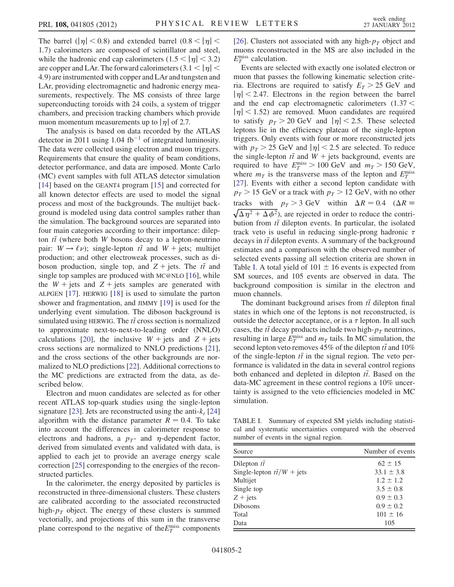The barrel ( $|\eta|$  < 0.8) and extended barrel (0.8 <  $|\eta|$  < 1:7) calorimeters are composed of scintillator and steel, while the hadronic end cap calorimeters  $(1.5 < |\eta| < 3.2)$ are copper and LAr. The forward calorimeters  $(3.1 < |\eta|$ 4:9) are instrumented with copper and LAr and tungsten and LAr, providing electromagnetic and hadronic energy measurements, respectively. The MS consists of three large superconducting toroids with 24 coils, a system of trigger chambers, and precision tracking chambers which provide muon momentum measurements up to  $|\eta|$  of 2.7.

The analysis is based on data recorded by the ATLAS detector in 2011 using 1.04 fb<sup>-1</sup> of integrated luminosity. The data were collected using electron and muon triggers. Requirements that ensure the quality of beam conditions, detector performance, and data are imposed. Monte Carlo (MC) event samples with full ATLAS detector simulation [\[14\]](#page-4-12) based on the GEANT4 program [\[15\]](#page-4-13) and corrected for all known detector effects are used to model the signal process and most of the backgrounds. The multijet background is modeled using data control samples rather than the simulation. The background sources are separated into four main categories according to their importance: dilepton  $t\bar{t}$  (where both W bosons decay to a lepton-neutrino pair:  $W \rightarrow \ell \nu$ ; single-lepton  $t\bar{t}$  and  $W$  + jets; multijet production; and other electroweak processes, such as diboson production, single top, and  $Z + \text{jets}$ . The  $t\bar{t}$  and single top samples are produced with MC@NLO [[16\]](#page-4-14), while the  $W + \text{jets}$  and  $Z + \text{jets}$  samples are generated with ALPGEN [[17](#page-4-15)]. HERWIG [\[18\]](#page-4-16) is used to simulate the parton shower and fragmentation, and JIMMY [[19\]](#page-4-17) is used for the underlying event simulation. The diboson background is simulated using HERWIG. The  $t\bar{t}$  cross section is normalized to approximate next-to-next-to-leading order (NNLO) calculations [[20](#page-4-18)], the inclusive  $W + jets$  and  $Z + jets$ cross sections are normalized to NNLO predictions [\[21\]](#page-4-19), and the cross sections of the other backgrounds are normalized to NLO predictions [\[22](#page-4-20)]. Additional corrections to the MC predictions are extracted from the data, as described below.

Electron and muon candidates are selected as for other recent ATLAS top-quark studies using the single-lepton signature [[23\]](#page-4-21). Jets are reconstructed using the anti- $k_t$  [\[24\]](#page-4-22) algorithm with the distance parameter  $R = 0.4$ . To take into account the differences in calorimeter response to electrons and hadrons, a  $p_T$ - and  $\eta$ -dependent factor, derived from simulated events and validated with data, is applied to each jet to provide an average energy scale correction [[25](#page-4-23)] corresponding to the energies of the reconstructed particles.

In the calorimeter, the energy deposited by particles is reconstructed in three-dimensional clusters. These clusters are calibrated according to the associated reconstructed high- $p<sub>T</sub>$  object. The energy of these clusters is summed vectorially, and projections of this sum in the transverse plane correspond to the negative of the  $E_T^{\text{miss}}$  components [\[26\]](#page-4-24). Clusters not associated with any high- $p<sub>T</sub>$  object and muons reconstructed in the MS are also included in the  $E_T^{\text{miss}}$  calculation.

Events are selected with exactly one isolated electron or muon that passes the following kinematic selection criteria. Electrons are required to satisfy  $E_T > 25$  GeV and  $|\eta|$  < 2.47. Electrons in the region between the barrel and the end cap electromagnetic calorimeters  $(1.37 <$  $|\eta|$  < 1.52) are removed. Muon candidates are required to satisfy  $p<sub>T</sub> > 20$  GeV and  $|\eta| < 2.5$ . These selected leptons lie in the efficiency plateau of the single-lepton triggers. Only events with four or more reconstructed jets with  $p_T > 25$  GeV and  $|\eta| < 2.5$  are selected. To reduce the single-lepton  $t\bar{t}$  and  $W$  + jets background, events are required to have  $E_T^{\text{miss}} > 100 \text{ GeV}$  and  $m_T > 150 \text{ GeV}$ , where  $m_T$  is the transverse mass of the lepton and  $E_T^{\text{miss}}$ [\[27\]](#page-4-25). Events with either a second lepton candidate with  $p_T > 15$  GeV or a track with  $p_T > 12$  GeV, with no other tracks with  $p_T > 3$  GeV within  $\Delta R = 0.4$  ( $\Delta R =$  $\sqrt{\Delta \eta^2 + \Delta \phi^2}$ , are rejected in order to reduce the contribution from  $t\bar{t}$  dilepton events. In particular, the isolated track veto is useful in reducing single-prong hadronic  $\tau$ decays in  $t\bar{t}$  dilepton events. A summary of the background estimates and a comparison with the observed number of selected events passing all selection criteria are shown in Table [I.](#page-1-0) A total yield of  $101 \pm 16$  events is expected from SM sources, and 105 events are observed in data. The background composition is similar in the electron and muon channels.

The dominant background arises from  $t\bar{t}$  dilepton final states in which one of the leptons is not reconstructed, is outside the detector acceptance, or is a  $\tau$  lepton. In all such cases, the  $t\bar{t}$  decay products include two high- $p_T$  neutrinos, resulting in large  $E_T^{\text{miss}}$  and  $m_T$  tails. In MC simulation, the second lepton veto removes 45% of the dilepton  $t\bar{t}$  and 10% of the single-lepton  $t\bar{t}$  in the signal region. The veto performance is validated in the data in several control regions both enhanced and depleted in dilepton  $t\bar{t}$ . Based on the data-MC agreement in these control regions a 10% uncertainty is assigned to the veto efficiencies modeled in MC simulation.

<span id="page-1-0"></span>TABLE I. Summary of expected SM yields including statistical and systematic uncertainties compared with the observed number of events in the signal region.

| Source                            | Number of events |
|-----------------------------------|------------------|
| Dilepton $t\bar{t}$               | $62 \pm 15$      |
| Single-lepton $t\bar{t}/W$ + jets | $33.1 \pm 3.8$   |
| Multijet                          | $1.2 \pm 1.2$    |
| Single top                        | $3.5 \pm 0.8$    |
| $Z + jets$                        | $0.9 \pm 0.3$    |
| <b>Dibosons</b>                   | $0.9 \pm 0.2$    |
| Total                             | $101 \pm 16$     |
| Data                              | 105              |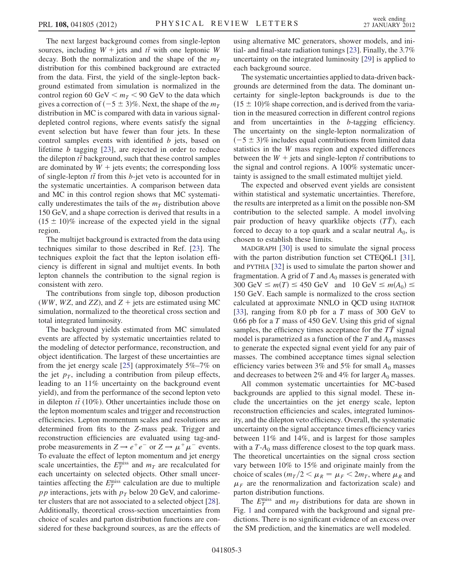The next largest background comes from single-lepton sources, including  $W + \text{jets}$  and  $t\bar{t}$  with one leptonic W decay. Both the normalization and the shape of the  $m<sub>T</sub>$ distribution for this combined background are extracted from the data. First, the yield of the single-lepton background estimated from simulation is normalized in the control region 60 GeV  $\leq m_T < 90$  GeV to the data which gives a correction of  $(-5 \pm 3)\%$ . Next, the shape of the  $m<sub>T</sub>$ distribution in MC is compared with data in various signaldepleted control regions, where events satisfy the signal event selection but have fewer than four jets. In these control samples events with identified b jets, based on lifetime b tagging [[23](#page-4-21)], are rejected in order to reduce the dilepton  $t\bar{t}$  background, such that these control samples are dominated by  $W +$  jets events; the corresponding loss of single-lepton  $t\bar{t}$  from this *b*-jet veto is accounted for in the systematic uncertainties. A comparison between data and MC in this control region shows that MC systematically underestimates the tails of the  $m<sub>T</sub>$  distribution above 150 GeV, and a shape correction is derived that results in a  $(15 \pm 10)\%$  increase of the expected yield in the signal region.

The multijet background is extracted from the data using techniques similar to those described in Ref. [\[23\]](#page-4-21). The techniques exploit the fact that the lepton isolation efficiency is different in signal and multijet events. In both lepton channels the contribution to the signal region is consistent with zero.

The contributions from single top, diboson production (WW, WZ, and ZZ), and  $Z +$  jets are estimated using MC simulation, normalized to the theoretical cross section and total integrated luminosity.

The background yields estimated from MC simulated events are affected by systematic uncertainties related to the modeling of detector performance, reconstruction, and object identification. The largest of these uncertainties are from the jet energy scale [\[25\]](#page-4-23) (approximately 5%–7% on the jet  $p<sub>T</sub>$ , including a contribution from pileup effects, leading to an 11% uncertainty on the background event yield), and from the performance of the second lepton veto in dilepton  $t\bar{t}$  (10%). Other uncertainties include those on the lepton momentum scales and trigger and reconstruction efficiencies. Lepton momentum scales and resolutions are determined from fits to the Z-mass peak. Trigger and reconstruction efficiencies are evaluated using tag-andprobe measurements in  $Z \rightarrow e^+e^-$  or  $Z \rightarrow \mu^+\mu^-$  events. To evaluate the effect of lepton momentum and jet energy scale uncertainties, the  $E_T^{\text{miss}}$  and  $m_T$  are recalculated for each uncertainty on selected objects. Other small uncertainties affecting the  $E_T^{\text{miss}}$  calculation are due to multiple pp interactions, jets with  $p<sub>T</sub>$  below 20 GeV, and calorimeter clusters that are not associated to a selected object [[28\]](#page-4-26). Additionally, theoretical cross-section uncertainties from choice of scales and parton distribution functions are considered for these background sources, as are the effects of using alternative MC generators, shower models, and initial- and final-state radiation tunings [\[23\]](#page-4-21). Finally, the 3.7% uncertainty on the integrated luminosity [[29](#page-4-27)] is applied to each background source.

The systematic uncertainties applied to data-driven backgrounds are determined from the data. The dominant uncertainty for single-lepton backgrounds is due to the  $(15 \pm 10)\%$  shape correction, and is derived from the variation in the measured correction in different control regions and from uncertainties in the b-tagging efficiency. The uncertainty on the single-lepton normalization of  $(-5 \pm 3)\%$  includes equal contributions from limited data statistics in the W mass region and expected differences between the  $W +$  jets and single-lepton  $t\bar{t}$  contributions to the signal and control regions. A 100% systematic uncertainty is assigned to the small estimated multijet yield.

The expected and observed event yields are consistent within statistical and systematic uncertainties. Therefore, the results are interpreted as a limit on the possible non-SM contribution to the selected sample. A model involving pair production of heavy quarklike objects (TT), each forced to decay to a top quark and a scalar neutral  $A_0$ , is chosen to establish these limits.

MADGRAPH [\[30\]](#page-4-28) is used to simulate the signal process with the parton distribution function set CTEQ6L1 [[31\]](#page-4-29), and PYTHIA [[32](#page-4-30)] is used to simulate the parton shower and fragmentation. A grid of T and  $A_0$  masses is generated with 300 GeV  $\leq m(T) \leq 450$  GeV and 10 GeV  $\leq m(A_0) \leq$ 150 GeV. Each sample is normalized to the cross section calculated at approximate NNLO in QCD using HATHOR [\[33\]](#page-4-31), ranging from 8.0 pb for a  $T$  mass of 300 GeV to 0.66 pb for a  $T$  mass of 450 GeV. Using this grid of signal samples, the efficiency times acceptance for the  $T\bar{T}$  signal model is parametrized as a function of the T and  $A_0$  masses to generate the expected signal event yield for any pair of masses. The combined acceptance times signal selection efficiency varies between 3% and 5% for small  $A_0$  masses and decreases to between 2% and 4% for larger  $A_0$  masses.

All common systematic uncertainties for MC-based backgrounds are applied to this signal model. These include the uncertainties on the jet energy scale, lepton reconstruction efficiencies and scales, integrated luminosity, and the dilepton veto efficiency. Overall, the systematic uncertainty on the signal acceptance times efficiency varies between 11% and 14%, and is largest for those samples with a  $T-A_0$  mass difference closest to the top quark mass. The theoretical uncertainties on the signal cross section vary between 10% to 15% and originate mainly from the choice of scales ( $m_T/2 < \mu_R = \mu_F < 2m_T$ , where  $\mu_R$  and  $\mu_F$  are the renormalization and factorization scale) and parton distribution functions.

The  $E_T^{\text{miss}}$  and  $m_T$  distributions for data are shown in Fig. [1](#page-3-0) and compared with the background and signal predictions. There is no significant evidence of an excess over the SM prediction, and the kinematics are well modeled.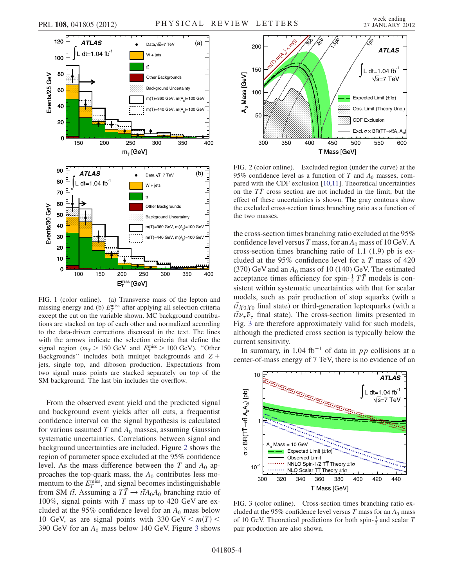<span id="page-3-0"></span>

FIG. 1 (color online). (a) Transverse mass of the lepton and missing energy and (b)  $E_T^{\text{miss}}$  after applying all selection criteria except the cut on the variable shown. MC background contributions are stacked on top of each other and normalized according to the data-driven corrections discussed in the text. The lines with the arrows indicate the selection criteria that define the signal region ( $m_T > 150$  GeV and  $E_T^{\text{miss}} > 100$  GeV). "Other Backgrounds" includes both multijet backgrounds and  $Z +$ jets, single top, and diboson production. Expectations from two signal mass points are stacked separately on top of the SM background. The last bin includes the overflow.

From the observed event yield and the predicted signal and background event yields after all cuts, a frequentist confidence interval on the signal hypothesis is calculated for various assumed T and  $A_0$  masses, assuming Gaussian systematic uncertainties. Correlations between signal and background uncertainties are included. Figure [2](#page-3-1) shows the region of parameter space excluded at the 95% confidence level. As the mass difference between the T and  $A_0$  approaches the top-quark mass, the  $A_0$  contributes less momentum to the  $E_T^{\text{miss}}$ , and signal becomes indistinguishable from SM  $t\bar{t}$ . Assuming a  $T\bar{T} \rightarrow t\bar{t}A_0A_0$  branching ratio of 100%, signal points with  $T$  mass up to 420 GeV are excluded at the 95% confidence level for an  $A_0$  mass below 10 GeV, as are signal points with 330 GeV  $\leq m(T)$  < [3](#page-3-2)90 GeV for an  $A_0$  mass below 140 GeV. Figure 3 shows

<span id="page-3-1"></span>

FIG. 2 (color online). Excluded region (under the curve) at the 95% confidence level as a function of T and  $A_0$  masses, compared with the CDF exclusion [[10](#page-4-8),[11](#page-4-9)]. Theoretical uncertainties on the  $T\bar{T}$  cross section are not included in the limit, but the effect of these uncertainties is shown. The gray contours show the excluded cross-section times branching ratio as a function of the two masses.

the cross-section times branching ratio excluded at the 95% confidence level versus T mass, for an  $A_0$  mass of 10 GeV. A cross-section times branching ratio of 1.1 (1.9) pb is excluded at the 95% confidence level for a T mass of 420 (370) GeV and an  $A_0$  mass of 10 (140) GeV. The estimated acceptance times efficiency for spin- $\frac{1}{2}T\overline{T}$  models is consistent within systematic uncertainties with that for scalar models, such as pair production of stop squarks (with a  $t\bar{t}\chi_0\chi_0$  final state) or third-generation leptoquarks (with a  $t\bar{t}\nu_{\tau}\bar{\nu}_{\tau}$  final state). The cross-section limits presented in Fig. [3](#page-3-2) are therefore approximately valid for such models, although the predicted cross section is typically below the current sensitivity.

In summary, in 1.04 fb<sup>-1</sup> of data in pp collisions at a center-of-mass energy of 7 TeV, there is no evidence of an

<span id="page-3-2"></span>

FIG. 3 (color online). Cross-section times branching ratio excluded at the 95% confidence level versus T mass for an  $A_0$  mass of 10 GeV. Theoretical predictions for both spin- $\frac{1}{2}$  and scalar T pair production are also shown.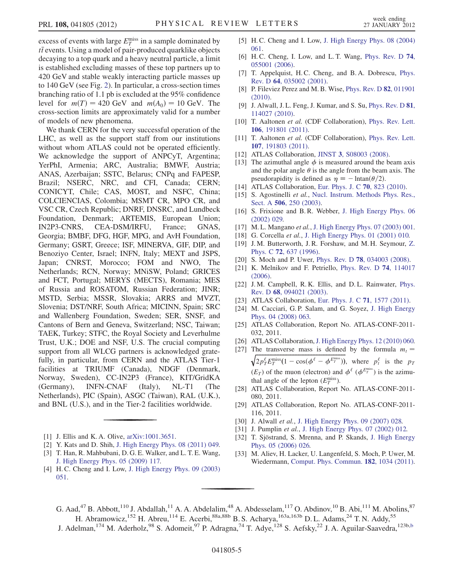excess of events with large  $E_T^{\text{miss}}$  in a sample dominated by  $t\bar{t}$  events. Using a model of pair-produced quarklike objects decaying to a top quark and a heavy neutral particle, a limit is established excluding masses of these top partners up to 420 GeV and stable weakly interacting particle masses up to 140 GeV (see Fig. [2\)](#page-3-1). In particular, a cross-section times branching ratio of 1.1 pb is excluded at the 95% confidence level for  $m(T) = 420$  GeV and  $m(A_0) = 10$  GeV. The cross-section limits are approximately valid for a number of models of new phenomena.

We thank CERN for the very successful operation of the LHC, as well as the support staff from our institutions without whom ATLAS could not be operated efficiently. We acknowledge the support of ANPCyT, Argentina; YerPhI, Armenia; ARC, Australia; BMWF, Austria; ANAS, Azerbaijan; SSTC, Belarus; CNPq and FAPESP, Brazil; NSERC, NRC, and CFI, Canada; CERN; CONICYT, Chile; CAS, MOST, and NSFC, China; COLCIENCIAS, Colombia; MSMT CR, MPO CR, and VSC CR, Czech Republic; DNRF, DNSRC, and Lundbeck Foundation, Denmark; ARTEMIS, European Union; IN2P3-CNRS, CEA-DSM/IRFU, France; GNAS, Georgia; BMBF, DFG, HGF, MPG, and AvH Foundation, Germany; GSRT, Greece; ISF, MINERVA, GIF, DIP, and Benoziyo Center, Israel; INFN, Italy; MEXT and JSPS, Japan; CNRST, Morocco; FOM and NWO, The Netherlands; RCN, Norway; MNiSW, Poland; GRICES and FCT, Portugal; MERYS (MECTS), Romania; MES of Russia and ROSATOM, Russian Federation; JINR; MSTD, Serbia; MSSR, Slovakia; ARRS and MVZT, Slovenia; DST/NRF, South Africa; MICINN, Spain; SRC and Wallenberg Foundation, Sweden; SER, SNSF, and Cantons of Bern and Geneva, Switzerland; NSC, Taiwan; TAEK, Turkey; STFC, the Royal Society and Leverhulme Trust, U.K.; DOE and NSF, U.S. The crucial computing support from all WLCG partners is acknowledged gratefully, in particular, from CERN and the ATLAS Tier-1 facilities at TRIUMF (Canada), NDGF (Denmark, Norway, Sweden), CC-IN2P3 (France), KIT/GridKA (Germany), INFN-CNAF (Italy), NL-T1 (The Netherlands), PIC (Spain), ASGC (Taiwan), RAL (U.K.), and BNL (U.S.), and in the Tier-2 facilities worldwide.

- <span id="page-4-0"></span>[1] J. Ellis and K. A. Olive, [arXiv:1001.3651.](http://arXiv.org/abs/1001.3651)
- <span id="page-4-1"></span>[2] Y. Kats and D. Shih, [J. High Energy Phys. 08 \(2011\) 049.](http://dx.doi.org/10.1007/JHEP08(2011)049)
- <span id="page-4-2"></span>[3] T. Han, R. Mahbubani, D. G. E. Walker, and L. T. E. Wang, [J. High Energy Phys. 05 \(2009\) 117.](http://dx.doi.org/10.1088/1126-6708/2009/05/117)
- <span id="page-4-3"></span>[4] H. C. Cheng and I. Low, [J. High Energy Phys. 09 \(2003\)](http://dx.doi.org/10.1088/1126-6708/2003/09/051) [051](http://dx.doi.org/10.1088/1126-6708/2003/09/051).
- [5] H. C. Cheng and I. Low, [J. High Energy Phys. 08 \(2004\)](http://dx.doi.org/10.1088/1126-6708/2004/08/061) [061](http://dx.doi.org/10.1088/1126-6708/2004/08/061).
- <span id="page-4-4"></span>[6] H.C. Cheng, I. Low, and L.T. Wang, [Phys. Rev. D](http://dx.doi.org/10.1103/PhysRevD.74.055001) 74, [055001 \(2006\).](http://dx.doi.org/10.1103/PhysRevD.74.055001)
- <span id="page-4-5"></span>[7] T. Appelquist, H.C. Cheng, and B.A. Dobrescu, [Phys.](http://dx.doi.org/10.1103/PhysRevD.64.035002) Rev. D 64[, 035002 \(2001\)](http://dx.doi.org/10.1103/PhysRevD.64.035002).
- <span id="page-4-6"></span>[8] P. Fileviez Perez and M. B. Wise, [Phys. Rev. D](http://dx.doi.org/10.1103/PhysRevD.82.011901) 82, 011901 [\(2010\)](http://dx.doi.org/10.1103/PhysRevD.82.011901).
- <span id="page-4-7"></span>[9] J. Alwall, J. L. Feng, J. Kumar, and S. Su, [Phys. Rev. D](http://dx.doi.org/10.1103/PhysRevD.81.114027) 81, [114027 \(2010\).](http://dx.doi.org/10.1103/PhysRevD.81.114027)
- <span id="page-4-8"></span>[10] T. Aaltonen et al. (CDF Collaboration), [Phys. Rev. Lett.](http://dx.doi.org/10.1103/PhysRevLett.106.191801) 106[, 191801 \(2011\)](http://dx.doi.org/10.1103/PhysRevLett.106.191801).
- <span id="page-4-9"></span>[11] T. Aaltonen et al. (CDF Collaboration), [Phys. Rev. Lett.](http://dx.doi.org/10.1103/PhysRevLett.107.191803) 107[, 191803 \(2011\)](http://dx.doi.org/10.1103/PhysRevLett.107.191803).
- <span id="page-4-10"></span>[12] ATLAS Collaboration, JINST 3[, S08003 \(2008\).](http://dx.doi.org/10.1088/1748-0221/3/08/S08003)
- <span id="page-4-11"></span>[13] The azimuthal angle  $\phi$  is measured around the beam axis and the polar angle  $\theta$  is the angle from the beam axis. The pseudorapidity is defined as  $\eta = -\ln(\theta/2)$ .
- <span id="page-4-12"></span>[14] ATLAS Collaboration, [Eur. Phys. J. C](http://dx.doi.org/10.1140/epjc/s10052-010-1429-9) 70, 823 (2010).
- <span id="page-4-13"></span>[15] S. Agostinelli et al., [Nucl. Instrum. Methods Phys. Res.,](http://dx.doi.org/10.1016/S0168-9002(03)01368-8) Sect. A 506[, 250 \(2003\).](http://dx.doi.org/10.1016/S0168-9002(03)01368-8)
- <span id="page-4-14"></span>[16] S. Frixione and B.R. Webber, [J. High Energy Phys. 06](http://dx.doi.org/10.1088/1126-6708/2002/06/029) [\(2002\) 029.](http://dx.doi.org/10.1088/1126-6708/2002/06/029)
- <span id="page-4-15"></span>[17] M. L. Mangano et al., [J. High Energy Phys. 07 \(2003\) 001.](http://dx.doi.org/10.1088/1126-6708/2003/07/001)
- <span id="page-4-16"></span>[18] G. Corcella et al., [J. High Energy Phys. 01 \(2001\) 010.](http://dx.doi.org/10.1088/1126-6708/2001/01/010)
- <span id="page-4-17"></span>[19] J. M. Butterworth, J. R. Forshaw, and M. H. Seymour, [Z.](http://dx.doi.org/10.1007/s002880050286) Phys. C 72[, 637 \(1996\)](http://dx.doi.org/10.1007/s002880050286).
- <span id="page-4-18"></span>[20] S. Moch and P. Uwer, Phys. Rev. D **78**[, 034003 \(2008\)](http://dx.doi.org/10.1103/PhysRevD.78.034003).
- <span id="page-4-19"></span>[21] K. Melnikov and F. Petriello, [Phys. Rev. D](http://dx.doi.org/10.1103/PhysRevD.74.114017) 74, 114017 [\(2006\)](http://dx.doi.org/10.1103/PhysRevD.74.114017).
- <span id="page-4-20"></span>[22] J. M. Campbell, R. K. Ellis, and D. L. Rainwater, [Phys.](http://dx.doi.org/10.1103/PhysRevD.68.094021) Rev. D 68[, 094021 \(2003\)](http://dx.doi.org/10.1103/PhysRevD.68.094021).
- <span id="page-4-21"></span>[23] ATLAS Collaboration, [Eur. Phys. J. C](http://dx.doi.org/10.1140/epjc/s10052-011-1577-6) 71, 1577 (2011).
- <span id="page-4-22"></span>[24] M. Cacciari, G.P. Salam, and G. Soyez, [J. High Energy](http://dx.doi.org/10.1088/1126-6708/2008/04/063) [Phys. 04 \(2008\) 063.](http://dx.doi.org/10.1088/1126-6708/2008/04/063)
- <span id="page-4-23"></span>[25] ATLAS Collaboration, Report No. ATLAS-CONF-2011-032, 2011.
- <span id="page-4-24"></span>[26] ATLAS Collaboration, [J. High Energy Phys. 12 \(2010\) 060.](http://dx.doi.org/10.1007/JHEP12(2010)060)
- <span id="page-4-25"></span>[27] The transverse mass is defined by the formula  $m_t =$  $\sqrt{2p_T^{\ell}E_T^{\text{miss}}(1-\cos(\phi^{\ell}-\phi^{E_T^{\text{miss}}}))}$ , where  $p_t^{\ell}$  is the  $p_T$  $(E_T)$  of the muon (electron) and  $\phi^{\ell}$  ( $\phi^{E_T^{\text{miss}}}$ ) is the azimuthal angle of the lepton  $(E_T^{\text{miss}})$ .
- <span id="page-4-26"></span>[28] ATLAS Collaboration, Report No. ATLAS-CONF-2011-080, 2011.
- <span id="page-4-27"></span>[29] ATLAS Collaboration, Report No. ATLAS-CONF-2011- 116, 2011.
- <span id="page-4-28"></span>[30] J. Alwall *et al.*, [J. High Energy Phys. 09 \(2007\) 028.](http://dx.doi.org/10.1088/1126-6708/2007/09/028)
- <span id="page-4-29"></span>[31] J. Pumplin et al., [J. High Energy Phys. 07 \(2002\) 012.](http://dx.doi.org/10.1088/1126-6708/2002/07/012)
- <span id="page-4-30"></span>[32] T. Sjöstrand, S. Mrenna, and P. Skands, [J. High Energy](http://dx.doi.org/10.1088/1126-6708/2006/05/026) [Phys. 05 \(2006\) 026.](http://dx.doi.org/10.1088/1126-6708/2006/05/026)
- <span id="page-4-31"></span>[33] M. Aliev, H. Lacker, U. Langenfeld, S. Moch, P. Uwer, M. Wiedermann, [Comput. Phys. Commun.](http://dx.doi.org/10.1016/j.cpc.2010.12.040) 182, 1034 (2011).

G. Aad,<sup>47</sup> B. Abbott,<sup>110</sup> J. Abdallah,<sup>11</sup> A. A. Abdelalim,<sup>48</sup> A. Abdesselam,<sup>117</sup> O. Abdinov,<sup>10</sup> B. Abi,<sup>111</sup> M. Abolins,<sup>87</sup> H. Abramowicz,<sup>152</sup> H. Abreu,<sup>114</sup> E. Acerbi,<sup>88a,88b</sup> B. S. Acharya,<sup>163a,163b</sup> D. L. Adams,<sup>24</sup> T. N. Addy,<sup>55</sup>

<span id="page-4-32"></span>J. Adelman,<sup>174</sup> M. Aderholz,<sup>98</sup> S. Adomeit,<sup>97</sup> P. Adragna,<sup>74</sup> T. Adye,<sup>128</sup> S. Aefsky,<sup>22</sup> J. A. Aguilar-Saavedra,<sup>123[b](#page-17-0),b</sup>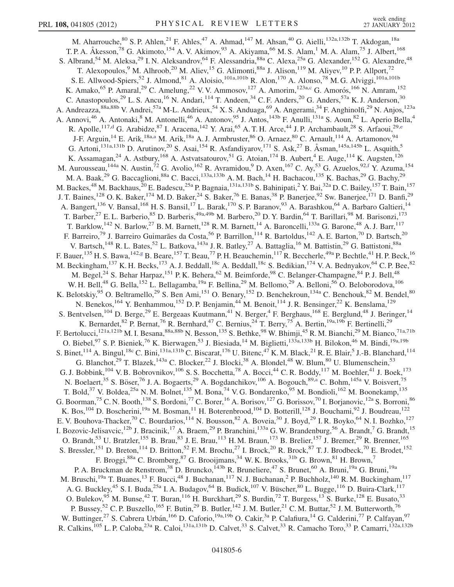<span id="page-5-4"></span><span id="page-5-3"></span><span id="page-5-2"></span><span id="page-5-1"></span><span id="page-5-0"></span>M. Aharrouche, <sup>80</sup> S. P. Ahlen, <sup>21</sup> F. Ahles, <sup>47</sup> A. Ahmad, <sup>147</sup> M. Ahsan, <sup>40</sup> G. Aielli, <sup>132a, 132b</sup> T. Akdogan, <sup>18a</sup> T. P. A. Åkesson,<sup>78</sup> G. Akimoto,<sup>154</sup> A. V. Akimov,<sup>93</sup> A. Akiyama,<sup>66</sup> M. S. Alam,<sup>1</sup> M. A. Alam,<sup>75</sup> J. Albert,<sup>168</sup> S. Albrand,<sup>54</sup> M. Aleksa,<sup>29</sup> I. N. Aleksandrov,<sup>64</sup> F. Alessandria,<sup>88a</sup> C. Alexa,<sup>25a</sup> G. Alexander,<sup>152</sup> G. Alexandre,<sup>48</sup> T. Alexopoulos, <sup>9</sup> M. Alhroob, <sup>20</sup> M. Aliev, <sup>15</sup> G. Alimonti, <sup>88a</sup> J. Alison, <sup>119</sup> M. Aliyev, <sup>10</sup> P. P. Allport, <sup>72</sup> S. E. Allwood-Spiers,<sup>52</sup> J. Almond,<sup>81</sup> A. Aloisio,<sup>101a,101b</sup> R. Alon,<sup>170</sup> A. Alonso,<sup>78</sup> M. G. Alviggi,<sup>101a,101b</sup> K. Amako, <sup>65</sup> P. Amaral, <sup>29</sup> C. Amelung, <sup>22</sup> V. V. Ammosov, <sup>127</sup> A. Amorim, <sup>123a, c</sup> G. Amorós, <sup>166</sup> N. Amram, <sup>152</sup> C. Anastopoulos,<sup>29</sup> L. S. Ancu,<sup>16</sup> N. Andari,<sup>114</sup> T. Andeen,<sup>34</sup> C. F. Anders,<sup>20</sup> G. Anders,<sup>57a</sup> K. J. Anderson,<sup>30</sup> A. Andreazza, 88a,88b V. Andrei, 57a M-L. Andrieux, 54 X. S. Anduaga, 69 A. Angerami, 34 F. Anghinolfi, <sup>29</sup> N. Anjos, <sup>123a</sup> A. Annovi,<sup>46</sup> A. Antonaki,<sup>8</sup> M. Antonelli,<sup>46</sup> A. Antonov,<sup>95</sup> J. Antos,<sup>143b</sup> F. Anulli,<sup>131a</sup> S. Aoun,<sup>82</sup> L. Aperio Bella,<sup>4</sup> R. Apolle,<sup>117[,d](#page-17-2)</sup> G. Arabidz[e](#page-17-3),<sup>87</sup> I. Aracena,<sup>142</sup> Y. Arai,<sup>65</sup> A. T. H. Arce,<sup>44</sup> J. P. Archambault,<sup>28</sup> S. Arfaoui,<sup>29,e</sup> J-F. Arguin,<sup>14</sup> E. Arik,<sup>18a[,a](#page-17-4)</sup> M. Arik,<sup>18a</sup> A. J. Armbruster,<sup>86</sup> O. Arnaez,<sup>80</sup> C. Arnault,<sup>114</sup> A. Artamonov,<sup>94</sup> G. Artoni,<sup>131a,131b</sup> D. Arutinov,<sup>20</sup> S. Asai,<sup>154</sup> R. Asfandiyarov,<sup>171</sup> S. Ask,<sup>27</sup> B. Åsman,<sup>145a,145b</sup> L. Asquith,<sup>5</sup> K. Assamagan,<sup>24</sup> A. Astbury,<sup>168</sup> A. Astvatsatourov,<sup>51</sup> G. Atoian,<sup>174</sup> B. Aubert,<sup>4</sup> E. Auge,<sup>114</sup> K. Augsten,<sup>126</sup> M. Aurousseau,<sup>144a</sup> N. Austin,<sup>72</sup> G. Avolio,<sup>162</sup> R. Avramidou,<sup>9</sup> D. Axen,<sup>167</sup> C. Ay,<sup>53</sup> G. Azuelos,<sup>92,[f](#page-17-5)</sup> Y. Azuma,<sup>154</sup> M. A. Baak,<sup>29</sup> G. Baccaglioni,<sup>88a</sup> C. Bacci,<sup>133a,133b</sup> A. M. Bach,<sup>14</sup> H. Bachacou,<sup>135</sup> K. Bachas,<sup>29</sup> G. Bachy,<sup>29</sup> M. Backes,<sup>48</sup> M. Backhaus,<sup>20</sup> E. Badescu,<sup>25a</sup> P. Bagnaia,<sup>131a,131b</sup> S. Bahinipati,<sup>2</sup> Y. Bai,<sup>32a</sup> D. C. Bailey,<sup>157</sup> T. Bain,<sup>157</sup> J. T. Baines,<sup>128</sup> O. K. Baker,<sup>174</sup> M. D. Baker,<sup>24</sup> S. Baker,<sup>76</sup> E. Banas,<sup>38</sup> P. Banerjee,<sup>92</sup> Sw. Banerjee,<sup>171</sup> D. Banfi,<sup>29</sup> A. Bangert,<sup>136</sup> V. Bansal,<sup>168</sup> H. S. Bansil,<sup>17</sup> L. Barak,<sup>170</sup> S. P. Baranov,<sup>93</sup> A. Barashkou,<sup>64</sup> A. Barbaro Galtieri,<sup>14</sup> T. Barber,<sup>27</sup> E. L. Barberio,<sup>85</sup> D. Barberis,<sup>49a,49b</sup> M. Barbero,<sup>20</sup> D. Y. Bardin,<sup>64</sup> T. Barillari,<sup>98</sup> M. Barisonzi,<sup>173</sup> T. Barklow,  $^{142}$  N. Barlow,  $^{27}$  B. M. Barnett,  $^{128}$  R. M. Barnett,  $^{14}$  A. Baroncelli,  $^{133a}$  G. Barone,  $^{48}$  A. J. Barr,  $^{117}$ F. Barreiro,<sup>79</sup> J. Barreiro Guimarães da Costa,<sup>56</sup> P. Barrillon,<sup>114</sup> R. Bartoldus,<sup>142</sup> A. E. Barton,<sup>70</sup> D. Bartsch,<sup>20</sup> V. Bartsch,<sup>148</sup> R. L. Bates,<sup>52</sup> L. Batkova,<sup>143a</sup> J. R. Batley,<sup>27</sup> A. Battaglia,<sup>16</sup> M. Battistin,<sup>29</sup> G. Battistoni,<sup>88a</sup> F. Bauer,  $^{135}$  H. S. Bawa,  $^{142,g}$  $^{142,g}$  $^{142,g}$  B. Beare,  $^{157}$  T. Beau,  $^{77}$  P. H. Beauchemin,  $^{117}$  R. Beccherle,  $^{49a}$  P. Bechtle,  $^{41}$  H. P. Beck,  $^{16}$ M. Beckingham,  $^{137}$  K. H. Becks,  $^{173}$  A. J. Beddall,  $^{18c}$  A. Beddall,  $^{18c}$  S. Bedikian,  $^{174}$  V. A. Bednyakov,  $^{64}$  C. P. Bee,  $^{82}$ M. Begel,<sup>24</sup> S. Behar Harpaz,<sup>151</sup> P.K. Behera,<sup>62</sup> M. Beimforde,<sup>98</sup> C. Belanger-Champagne,<sup>84</sup> P.J. Bell,<sup>48</sup> W. H. Bell,<sup>48</sup> G. Bella,<sup>152</sup> L. Bellagamba,<sup>19a</sup> F. Bellina,<sup>29</sup> M. Bellomo,<sup>29</sup> A. Belloni,<sup>56</sup> O. Beloborodova,<sup>106</sup> K. Belotskiy,<sup>95</sup> O. Beltramello,<sup>29</sup> S. Ben Ami,<sup>151</sup> O. Benary,<sup>152</sup> D. Benchekroun,<sup>134a</sup> C. Benchouk,<sup>82</sup> M. Bendel,<sup>80</sup> N. Benekos, <sup>164</sup> Y. Benhammou, <sup>152</sup> D. P. Benjamin, <sup>44</sup> M. Benoit, <sup>114</sup> J. R. Bensinger, <sup>22</sup> K. Benslama, <sup>129</sup> S. Bentvelsen,<sup>104</sup> D. Berge,<sup>29</sup> E. Bergeaas Kuutmann,<sup>41</sup> N. Berger,<sup>4</sup> F. Berghaus,<sup>168</sup> E. Berglund,<sup>48</sup> J. Beringer,<sup>14</sup> K. Bernardet,  $82$  P. Bernat,  $76$  R. Bernhard,  $47$  C. Bernius,  $24$  T. Berry,  $75$  A. Bertin,  $19a,19b$  F. Bertinelli,  $29$ F. Bertolucci,<sup>121a,121b</sup> M. I. Besana,<sup>88a,88b</sup> N. Besson,<sup>135</sup> S. Bethke,<sup>98</sup> W. Bhimji,<sup>45</sup> R. M. Bianchi,<sup>29</sup> M. Bianco,<sup>71a,71b</sup> O. Biebel,<sup>97</sup> S. P. Bieniek,<sup>76</sup> K. Bierwagen,<sup>53</sup> J. Biesiada,<sup>14</sup> M. Biglietti,<sup>133a,133b</sup> H. Bilokon,<sup>46</sup> M. Bindi,<sup>19a,19b</sup> S. Binet, <sup>114</sup> A. Bingul, <sup>18c</sup> C. Bini, <sup>131a,131b</sup> C. Biscarat, <sup>176</sup> U. Bitenc, <sup>47</sup> K. M. Black, <sup>21</sup> R. E. Blair, <sup>5</sup> J.-B. Blanchard, <sup>114</sup> G. Blanchot,<sup>29</sup> T. Blazek,<sup>143a</sup> C. Blocker,<sup>22</sup> J. Blocki,<sup>38</sup> A. Blondel,<sup>48</sup> W. Blum,<sup>80</sup> U. Blumenschein,<sup>53</sup> G. J. Bobbink,<sup>104</sup> V. B. Bobrovnikov,<sup>106</sup> S. S. Bocchetta,<sup>78</sup> A. Bocci,<sup>44</sup> C. R. Boddy,<sup>117</sup> M. Boehler,<sup>41</sup> J. Boek,<sup>173</sup> N. Boelaert,<sup>35</sup> S. Böser,<sup>76</sup> J. A. Bogaerts,<sup>29</sup> A. Bogdanchikov,<sup>106</sup> A. Bogouch,<sup>89[,a](#page-17-4)</sup> C. Bohm,<sup>145a</sup> V. Boisvert,<sup>75</sup> T. Bold,<sup>37</sup> V. Boldea,<sup>25a</sup> N. M. Bolnet,<sup>135</sup> M. Bona,<sup>74</sup> V. G. Bondarenko,<sup>95</sup> M. Bondioli,<sup>162</sup> M. Boonekamp,<sup>135</sup> G. Boorman,<sup>75</sup> C. N. Booth,<sup>138</sup> S. Bordoni,<sup>77</sup> C. Borer,<sup>16</sup> A. Borisov,<sup>127</sup> G. Borissov,<sup>70</sup> I. Borjanovic,<sup>12a</sup> S. Borroni,<sup>86</sup> K. Bos,  $^{104}$  D. Boscherini,  $^{19a}$  M. Bosman,  $^{11}$  H. Boterenbrood,  $^{104}$  D. Botterill,  $^{128}$  J. Bouchami,  $^{92}$  J. Boudreau,  $^{122}$ E. V. Bouhova-Thacker,<sup>70</sup> C. Bourdarios,<sup>114</sup> N. Bousson,<sup>82</sup> A. Boveia,<sup>30</sup> J. Boyd,<sup>29</sup> I. R. Boyko,<sup>64</sup> N. I. Bozhko,<sup>127</sup> I. Bozovic-Jelisavcic,<sup>12b</sup> J. Bracinik,<sup>17</sup> A. Braem,<sup>29</sup> P. Branchini,<sup>133a</sup> G. W. Brandenburg,<sup>56</sup> A. Brandt,<sup>7</sup> G. Brandt,<sup>15</sup> O. Brandt,<sup>53</sup> U. Bratzler,<sup>155</sup> B. Brau,<sup>83</sup> J. E. Brau,<sup>113</sup> H. M. Braun,<sup>173</sup> B. Brelier,<sup>157</sup> J. Bremer,<sup>29</sup> R. Brenner,<sup>165</sup> S. Bressler,<sup>151</sup> D. Breton,<sup>114</sup> D. Britton,<sup>52</sup> F.M. Brochu,<sup>27</sup> I. Brock,<sup>20</sup> R. Brock,<sup>87</sup> T.J. Brodbeck,<sup>70</sup> E. Brodet,<sup>152</sup> F. Broggi, <sup>88a</sup> C. Bromberg, <sup>87</sup> G. Brooijmans, <sup>34</sup> W. K. Brooks, <sup>31b</sup> G. Brown, <sup>81</sup> H. Brown, <sup>7</sup> P. A. Bruckman de Renstrom,<sup>38</sup> D. Bruncko,<sup>143b</sup> R. Bruneliere,<sup>47</sup> S. Brunet,<sup>60</sup> A. Bruni,<sup>19a</sup> G. Bruni,<sup>19a</sup> M. Bruschi,<sup>19a</sup> T. Buanes,<sup>13</sup> F. Bucci,<sup>48</sup> J. Buchanan,<sup>117</sup> N. J. Buchanan,<sup>2</sup> P. Buchholz,<sup>140</sup> R. M. Buckingham,<sup>117</sup> A. G. Buckley,<sup>45</sup> S. I. Buda,<sup>25a</sup> I. A. Budagov,<sup>64</sup> B. Budick,<sup>107</sup> V. Büscher,<sup>80</sup> L. Bugge,<sup>116</sup> D. Buira-Clark,<sup>117</sup> O. Bulekov, <sup>95</sup> M. Bunse, <sup>42</sup> T. Buran, <sup>116</sup> H. Burckhart, <sup>29</sup> S. Burdin, <sup>72</sup> T. Burgess, <sup>13</sup> S. Burke, <sup>128</sup> E. Busato, <sup>33</sup> P. Bussey,<sup>52</sup> C. P. Buszello,<sup>165</sup> F. Butin,<sup>29</sup> B. Butler,<sup>142</sup> J. M. Butler,<sup>21</sup> C. M. Buttar,<sup>52</sup> J. M. Butterworth,<sup>76</sup> W. Buttinger,<sup>27</sup> S. Cabrera Urbán,<sup>166</sup> D. Caforio,<sup>19a,19b</sup> O. Cakir,<sup>3a</sup> P. Calafiura,<sup>14</sup> G. Calderini,<sup>77</sup> P. Calfayan,<sup>97</sup> R. Calkins,<sup>105</sup> L. P. Caloba,<sup>23a</sup> R. Caloi,<sup>131a,131b</sup> D. Calvet,<sup>33</sup> S. Calvet,<sup>33</sup> R. Camacho Toro,<sup>33</sup> P. Camarri,<sup>132a,132b</sup>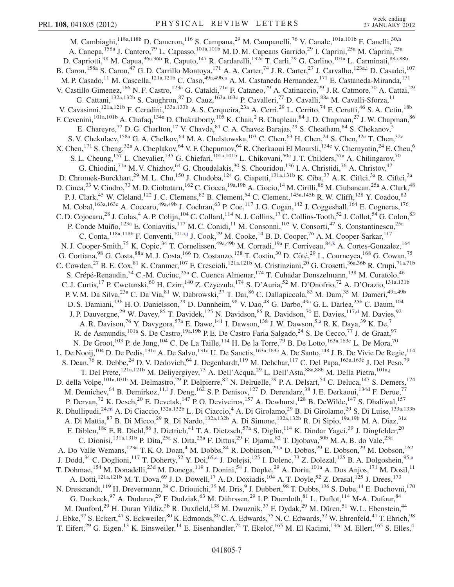<span id="page-6-5"></span><span id="page-6-4"></span><span id="page-6-3"></span><span id="page-6-2"></span><span id="page-6-1"></span><span id="page-6-0"></span>M. Cambiaghi, 118a,118b D. Cameron, <sup>116</sup> S. Campana, <sup>29</sup> M. Campanelli, <sup>76</sup> V. Canale, <sup>101a, 101b</sup> F. Canelli, <sup>30[,h](#page-17-7)</sup> A. Canepa, <sup>158a</sup> J. Cantero, <sup>79</sup> L. Capasso, <sup>101a, 101b</sup> M.D.M. Capeans Garrido, <sup>29</sup> I. Caprini, <sup>25a</sup> M. Caprini, <sup>25a</sup> D. Capriotti,<sup>98</sup> M. Capua,<sup>36a,36b</sup> R. Caputo,<sup>147</sup> R. Cardarelli,<sup>132a</sup> T. Carli,<sup>29</sup> G. Carlino,<sup>101a</sup> L. Carminati,<sup>88a,88b</sup> B. Caron,<sup>158a</sup> S. Caron,<sup>47</sup> G. D. Carrillo Montoya,<sup>171</sup> A. A. Carter,<sup>74</sup> J. R. Carter,<sup>27</sup> J. Carvalho,<sup>123a[,i](#page-17-8)</sup> D. Casadei,<sup>107</sup> M. P. C[a](#page-17-4)sado,<sup>11</sup> M. Cascella,<sup>121a,121b</sup> C. Caso,<sup>49a,49b,a</sup> A. M. Castaneda Hernandez,<sup>171</sup> E. Castaneda-Miranda,<sup>171</sup> V. Castillo Gimenez, <sup>166</sup> N. F. Castro, <sup>123a</sup> G. Cataldi, <sup>71a</sup> F. Cataneo, <sup>29</sup> A. Catinaccio, <sup>29</sup> J. R. Catmore, <sup>70</sup> A. Cattai, <sup>29</sup> G. Cattani,<sup>132a,132b</sup> S. Caughron,<sup>87</sup> D. Cauz,<sup>163a,163c</sup> P. Cavalleri,<sup>77</sup> D. Cavalli,<sup>88a</sup> M. Cavalli-Sforza,<sup>11</sup> V. Cavasinni,<sup>121a,121b</sup> F. Ceradini,<sup>133a,133b</sup> A. S. Cerqueira,<sup>23a</sup> A. Cerri,<sup>29</sup> L. Cerrito,<sup>74</sup> F. Cerutti,<sup>46</sup> S. A. Cetin,<sup>18b</sup> F. Cevenini, <sup>101a,101b</sup> A. Chafaq, <sup>134a</sup> D. Chakraborty, <sup>105</sup> K. Chan, <sup>2</sup> B. Chapleau, <sup>84</sup> J. D. Chapman, <sup>27</sup> J. W. Chapman, <sup>86</sup> E. Chareyre,<sup>77</sup> D. G. Charlton,<sup>17</sup> V. Chavda, <sup>81</sup> C. A. Chavez Barajas, <sup>29</sup> S. Cheatham, <sup>84</sup> S. Chekanov, <sup>5</sup> S. V. Chekulaev, <sup>158a</sup> G. A. Chelkov, <sup>64</sup> M. A. Chelstowska, <sup>103</sup> C. Chen, <sup>63</sup> H. Chen, <sup>24</sup> S. Chen, <sup>32c</sup> T. Chen, <sup>32c</sup> X. Chen, <sup>171</sup> S. Cheng, <sup>32a</sup> A. Cheplakov, <sup>64</sup> V. F. Chepurnov, <sup>64</sup> R. Cherkaoui El Moursli, <sup>134e</sup> V. Chernyatin, <sup>24</sup> E. Cheu, <sup>6</sup> S. L. Cheung,<sup>157</sup> L. Chevalier,<sup>135</sup> G. Chiefari,<sup>101a,101b</sup> L. Chikovani,<sup>50a</sup> J. T. Childers,<sup>57a</sup> A. Chilingarov,<sup>70</sup> G. Chiodini,<sup>71a</sup> M. V. Chizhov,<sup>64</sup> G. Choudalakis,<sup>30</sup> S. Chouridou,<sup>136</sup> I. A. Christidi,<sup>76</sup> A. Christov,<sup>47</sup> D. Chromek-Burckhart,<sup>29</sup> M. L. Chu,<sup>150</sup> J. Chudoba,<sup>124</sup> G. Ciapetti,<sup>131a,131b</sup> K. Ciba,<sup>37</sup> A. K. Ciftci,<sup>3a</sup> R. Ciftci,<sup>3a</sup> D. Cinca,<sup>33</sup> V. Cindro,<sup>73</sup> M. D. Ciobotaru,<sup>162</sup> C. Ciocca,<sup>19a,19b</sup> A. Ciocio,<sup>14</sup> M. Cirilli,<sup>86</sup> M. Ciubancan,<sup>25a</sup> A. Clark,<sup>48</sup> P. J. Clark,<sup>45</sup> W. Cleland,<sup>122</sup> J. C. Clemens,<sup>82</sup> B. Clement,<sup>54</sup> C. Clement,<sup>145a,145b</sup> R. W. Clifft,<sup>128</sup> Y. Coadou,<sup>82</sup> M. Cobal,<sup>163a,163c</sup> A. Coccaro,<sup>49a,49b</sup> J. Cochran,<sup>63</sup> P. Coe,<sup>117</sup> J. G. Cogan,<sup>142</sup> J. Coggeshall,<sup>164</sup> E. Cogneras,<sup>176</sup> C. D. Cojocaru,<sup>28</sup> J. Colas,<sup>4</sup> A. P. Colijn,<sup>104</sup> C. Collard,<sup>114</sup> N. J. Collins,<sup>17</sup> C. Collins-Tooth,<sup>52</sup> J. Collot,<sup>54</sup> G. Colon,<sup>83</sup> P. Conde Muiño,<sup>123a</sup> E. Coniavitis,<sup>117</sup> M. C. Conidi,<sup>11</sup> M. Consonni,<sup>103</sup> V. Consorti,<sup>47</sup> S. Constantinescu,<sup>25a</sup> C. Conta, <sup>118a, 118b</sup> F. Conventi, <sup>101a,[j](#page-17-9)</sup> J. Cook, <sup>29</sup> M. Cooke, <sup>14</sup> B. D. Cooper, <sup>76</sup> A. M. Cooper-Sarkar, <sup>117</sup> N. J. Cooper-Smith,<sup>75</sup> K. Copic,<sup>34</sup> T. Cornelissen,<sup>49a,49b</sup> M. Corradi,<sup>19a</sup> F. Corriveau,<sup>84[,k](#page-17-10)</sup> A. Cortes-Gonzalez,<sup>164</sup> G. Cortiana,<sup>98</sup> G. Costa,<sup>88a</sup> M. J. Costa,<sup>166</sup> D. Costanzo,<sup>138</sup> T. Costin,<sup>30</sup> D. Côté,<sup>29</sup> L. Courneyea,<sup>168</sup> G. Cowan,<sup>75</sup> C. Cowden,<sup>27</sup> B. E. Cox,<sup>81</sup> K. Cranmer,<sup>107</sup> F. Crescioli,<sup>121a,121b</sup> M. Cristinziani,<sup>20</sup> G. Crosetti,<sup>36a,36b</sup> R. Crupi,<sup>71a,71b</sup> S. Crépé-Renaudin,<sup>54</sup> C.-M. Cuciuc,<sup>25a</sup> C. Cuenca Almenar,<sup>174</sup> T. Cuhadar Donszelmann,<sup>138</sup> M. Curatolo,<sup>46</sup> C. J. Curtis,<sup>17</sup> P. Cwetanski,<sup>60</sup> H. Czirr,<sup>140</sup> Z. Czyczula,<sup>174</sup> S. D'Auria,<sup>52</sup> M. D'Onofrio,<sup>72</sup> A. D'Orazio,<sup>131a,131b</sup> P. V. M. Da Silva,<sup>23a</sup> C. Da Via,<sup>81</sup> W. Dabrowski,<sup>37</sup> T. Dai,<sup>86</sup> C. Dallapiccola,<sup>83</sup> M. Dam,<sup>35</sup> M. Dameri,<sup>49a,49b</sup> D. S. Damiani,<sup>136</sup> H. O. Danielsson,<sup>29</sup> D. Dannheim,<sup>98</sup> V. Dao,<sup>48</sup> G. Darbo,<sup>49a</sup> G. L. Darlea,<sup>25b</sup> C. Daum,<sup>104</sup> J. P. Dauvergne,<sup>29</sup> W. Davey,<sup>85</sup> T. Davi[d](#page-17-2)ek,<sup>125</sup> N. Davidson,<sup>85</sup> R. Davidson,<sup>70</sup> E. Davies,<sup>117,d</sup> M. Davies,<sup>92</sup> A. R. Davison,<sup>76</sup> Y. Davygora,<sup>57a</sup> E. Dawe,<sup>141</sup> I. Dawson,<sup>138</sup> J. W. Dawson,<sup>5[,a](#page-17-4)</sup> R. K. Daya,<sup>39</sup> K. De,<sup>7</sup> R. de Asmundis, <sup>101a</sup> S. De Castro, <sup>19a, 19b</sup> P. E. De Castro Faria Salgado, <sup>24</sup> S. De Cecco, <sup>77</sup> J. de Graat, <sup>97</sup> N. De Groot,<sup>103</sup> P. de Jong,<sup>104</sup> C. De La Taille,<sup>114</sup> H. De la Torre,<sup>79</sup> B. De Lotto,<sup>163a,163c</sup> L. De Mora,<sup>70</sup> L. De Nooij, <sup>104</sup> D. De Pedis, <sup>131a</sup> A. De Salvo, <sup>131a</sup> U. De Sanctis, <sup>163a, 163c</sup> A. De Santo, <sup>148</sup> J. B. De Vivie De Regie, <sup>114</sup> S. Dean,<sup>76</sup> R. Debbe,<sup>24</sup> D. V. Dedovich,<sup>64</sup> J. Degenhardt,<sup>119</sup> M. Dehchar,<sup>117</sup> C. Del Papa,<sup>163a,163c</sup> J. Del Peso,<sup>79</sup> T. Del Prete,<sup>121a,121b</sup> M. Deliyergiyev,<sup>73</sup> A. Dell'Acqua,<sup>29</sup> L. Dell'Asta,<sup>88a,88b</sup> M. Della Pietra,<sup>101a,[j](#page-17-9)</sup> D. della Volpe,<sup>101a,101b</sup> M. Delmastro,<sup>29</sup> P. Delpierre,<sup>82</sup> N. Delruelle,<sup>29</sup> P. A. Delsart,<sup>54</sup> C. Deluca,<sup>147</sup> S. Demers,<sup>174</sup> M. Demichev, <sup>64</sup> B. Demirkoz, <sup>11,1</sup> J. Deng, <sup>162</sup> S. P. Denisov, <sup>127</sup> D. Derendarz, <sup>38</sup> J. E. Derkaoui, <sup>134d</sup> F. Derue,<sup>77</sup> P. Dervan,<sup>72</sup> K. Desch,<sup>20</sup> E. Devetak,<sup>147</sup> P.O. Deviveiros,<sup>157</sup> A. Dewhurst,<sup>128</sup> B. DeWilde,<sup>147</sup> S. Dhaliwal,<sup>157</sup> R. Dhullipudi,<sup>24[,m](#page-17-12)</sup> A. Di Ciaccio,<sup>132a,132b</sup> L. Di Ciaccio,<sup>4</sup> A. Di Girolamo,<sup>29</sup> B. Di Girolamo,<sup>29</sup> S. Di Luise,<sup>133a,133b</sup> A. Di Mattia, <sup>87</sup> B. Di Micco,<sup>29</sup> R. Di Nardo,<sup>132a,132b</sup> A. Di Simone,<sup>132a,132b</sup> R. Di Sipio,<sup>19a,19b</sup> M. A. Diaz,<sup>31a</sup> F. Diblen,<sup>18c</sup> E. B. Diehl,<sup>86</sup> J. Dietrich,<sup>41</sup> T. A. Dietzsch,<sup>57a</sup> S. Diglio,<sup>114</sup> K. Dindar Yagci,<sup>39</sup> J. Dingfelder,<sup>20</sup> C. Dionisi,<sup>131a,131b</sup> P. Dita,<sup>25a</sup> S. Dita,<sup>25a</sup> F. Dittus,<sup>29</sup> F. Djama,<sup>82</sup> T. Djobava,<sup>50b</sup> M. A. B. do Vale,<sup>23a</sup> A. Do Valle Wemans,<sup>123a</sup> T. K. O. Doan,<sup>4</sup> M. Dobbs,<sup>84</sup> R. Dobinson,<sup>29[,a](#page-17-4)</sup> D. Dobos,<sup>29</sup> E. Dobson,<sup>29</sup> M. Dobson,<sup>162</sup> J. Dodd,<sup>34</sup> C. Doglioni,<sup>117</sup> T. Doherty,<sup>52</sup> Y. Doi,<sup>65[,a](#page-17-4)</sup> J. Dolejsi,<sup>125</sup> I. Dolenc,<sup>73</sup> Z. Dolezal,<sup>125</sup> B. A. Dolgoshein,<sup>95,a</sup> T. Dohmae, <sup>154</sup> M. Donadelli,<sup>23d</sup> M. Donega, <sup>119</sup> J. Donini,<sup>54</sup> J. Dopke,<sup>29</sup> A. Doria, <sup>101a</sup> A. Dos Anjos, <sup>171</sup> M. Dosil, <sup>11</sup> A. Dotti,<sup>121a,121b</sup> M. T. Dova,<sup>69</sup> J. D. Dowell,<sup>17</sup> A. D. Doxiadis,<sup>104</sup> A. T. Doyle,<sup>52</sup> Z. Drasal,<sup>125</sup> J. Drees,<sup>173</sup> N. Dressnandt, <sup>119</sup> H. Drevermann, <sup>29</sup> C. Driouichi, <sup>35</sup> M. Dris, <sup>9</sup> J. Dubbert, <sup>98</sup> T. Dubbs, <sup>136</sup> S. Dube, <sup>14</sup> E. Duchovni, <sup>170</sup> G. Duckeck,  $97$  A. Dudarev,  $29$  F. Dudziak,  $63$  M. Dührssen,  $29$  I. P. Duerdoth,  $81$  L. Duflot,  $114$  M-A. Dufour,  $84$ M. Dunford,<sup>29</sup> H. Duran Yildiz,<sup>3b</sup> R. Duxfield,<sup>138</sup> M. Dwuznik,<sup>37</sup> F. Dydak,<sup>29</sup> M. Düren,<sup>51</sup> W. L. Ebenstein,<sup>44</sup> J. Ebke, $^{97}$  S. Eckert, $^{47}$  S. Eckweiler, $^{80}$  K. Edmonds, $^{80}$  C. A. Edwards, $^{75}$  N. C. Edwards, $^{52}$  W. Ehrenfeld, $^{41}$  T. Ehrich, $^{98}$ T. Eifert,<sup>29</sup> G. Eigen,<sup>13</sup> K. Einsweiler,<sup>14</sup> E. Eisenhandler,<sup>74</sup> T. Ekelof,<sup>165</sup> M. El Kacimi,<sup>134c</sup> M. Ellert,<sup>165</sup> S. Elles,<sup>4</sup>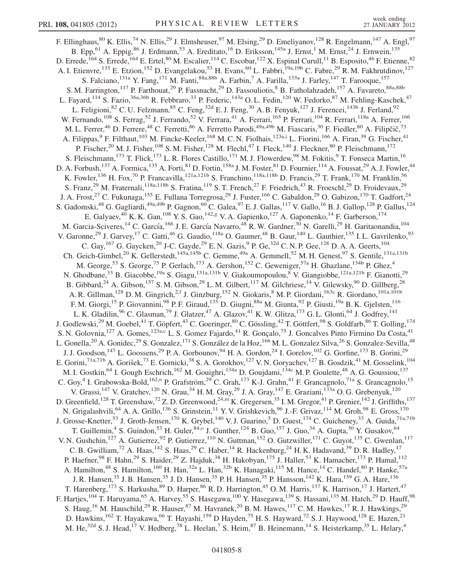<span id="page-7-1"></span><span id="page-7-0"></span>F. Ellinghaus, <sup>80</sup> K. Ellis, <sup>74</sup> N. Ellis, <sup>29</sup> J. Elmsheuser, <sup>97</sup> M. Elsing, <sup>29</sup> D. Emeliyanov, <sup>128</sup> R. Engelmann, <sup>147</sup> A. Engl, <sup>97</sup> B. Epp,<sup>61</sup> A. Eppig,<sup>86</sup> J. Erdmann,<sup>53</sup> A. Ereditato,<sup>16</sup> D. Eriksson,<sup>145a</sup> J. Ernst,<sup>1</sup> M. Ernst,<sup>24</sup> J. Ernwein,<sup>135</sup> D. Errede,<sup>164</sup> S. Errede,<sup>164</sup> E. Ertel,<sup>80</sup> M. Escalier,<sup>114</sup> C. Escobar,<sup>122</sup> X. Espinal Curull,<sup>11</sup> B. Esposito,<sup>46</sup> F. Etienne,<sup>82</sup> A. I. Etienvre,<sup>135</sup> E. Etzion,<sup>152</sup> D. Evangelakou,<sup>53</sup> H. Evans,<sup>60</sup> L. Fabbri,<sup>19a,19b</sup> C. Fabre,<sup>29</sup> R. M. Fakhrutdinov,<sup>127</sup> S. Falciano, <sup>131a</sup> Y. Fang, <sup>171</sup> M. Fanti, <sup>88a, 88b</sup> A. Farbin, <sup>7</sup> A. Farilla, <sup>133a</sup> J. Farley, <sup>147</sup> T. Farooque, <sup>157</sup> S. M. Farrington,<sup>117</sup> P. Farthouat,<sup>29</sup> P. Fassnacht,<sup>29</sup> D. Fassouliotis,<sup>8</sup> B. Fatholahzadeh,<sup>157</sup> A. Favareto,<sup>88a,88b</sup> L. Fayard,<sup>114</sup> S. Fazio,<sup>36a,36b</sup> R. Febbraro,<sup>33</sup> P. Federic,<sup>143a</sup> O.L. Fedin,<sup>120</sup> W. Fedorko,<sup>87</sup> M. Fehling-Kaschek,<sup>47</sup> L. Feligioni,<sup>82</sup> C. U. Felzmann,<sup>85</sup> C. Feng,<sup>32d</sup> E. J. Feng,<sup>30</sup> A. B. Fenyuk,<sup>127</sup> J. Ferencei,<sup>143b</sup> J. Ferland,<sup>92</sup> W. Fernando,<sup>108</sup> S. Ferrag,<sup>52</sup> J. Ferrando,<sup>52</sup> V. Ferrara,<sup>41</sup> A. Ferrari,<sup>165</sup> P. Ferrari,<sup>104</sup> R. Ferrari,<sup>118a</sup> A. Ferrer,<sup>166</sup> M. L. Ferrer,<sup>46</sup> D. Ferrere,<sup>48</sup> C. Ferretti,<sup>86</sup> A. Ferretto Parodi,<sup>49a,49b</sup> M. Fiascaris,<sup>30</sup> F. Fiedler,<sup>80</sup> A. Filipčič,<sup>73</sup> A. Filippas, <sup>9</sup> F. Filthaut, <sup>103</sup> M. Fincke-Keeler, <sup>168</sup> M. C. N. Fiolhais, <sup>123a[,i](#page-17-8)</sup> L. Fiorini, <sup>166</sup> A. Firan, <sup>39</sup> G. Fischer, <sup>41</sup> P. Fischer,<sup>20</sup> M. J. Fisher,<sup>108</sup> S. M. Fisher,<sup>128</sup> M. Flechl,<sup>47</sup> I. Fleck,<sup>140</sup> J. Fleckner,<sup>80</sup> P. Fleischmann,<sup>172</sup> S. Fleischmann,<sup>173</sup> T. Flick,<sup>173</sup> L. R. Flores Castillo,<sup>171</sup> M. J. Flowerdew,<sup>98</sup> M. Fokitis,<sup>9</sup> T. Fonseca Martin,<sup>16</sup> D. A. Forbush,<sup>137</sup> A. Formica,<sup>135</sup> A. Forti,<sup>81</sup> D. Fortin,<sup>158a</sup> J. M. Foster,<sup>81</sup> D. Fournier,<sup>114</sup> A. Foussat,<sup>29</sup> A. J. Fowler,<sup>44</sup> K. Fowler,<sup>136</sup> H. Fox,<sup>70</sup> P. Francavilla,<sup>121a,121b</sup> S. Franchino,<sup>118a,118b</sup> D. Francis,<sup>29</sup> T. Frank,<sup>170</sup> M. Franklin,<sup>56</sup> S. Franz,<sup>29</sup> M. Fraternali,<sup>118a,118b</sup> S. Fratina,<sup>119</sup> S. T. French,<sup>27</sup> F. Friedrich,<sup>43</sup> R. Froeschl,<sup>29</sup> D. Froidevaux,<sup>29</sup> J. A. Frost,<sup>27</sup> C. Fukunaga,<sup>155</sup> E. Fullana Torregrosa,<sup>29</sup> J. Fuster,<sup>166</sup> C. Gabaldon,<sup>29</sup> O. Gabizon,<sup>170</sup> T. Gadfort,<sup>24</sup> S. Gadomski,<sup>48</sup> G. Gagliardi,<sup>49a,49b</sup> P. Gagnon,<sup>60</sup> C. Galea,<sup>97</sup> E. J. Gallas,<sup>117</sup> V. Gallo,<sup>16</sup> B. J. Gallop,<sup>128</sup> P. Gallus,<sup>124</sup> E. Galyaev,<sup>40</sup> K. K. Gan,<sup>108</sup> Y. S. Gao,<sup>142[,g](#page-17-6)</sup> V. A. Gapienko,<sup>127</sup> A. Gaponenko,<sup>14</sup> F. Garberson,<sup>174</sup> M. Garcia-Sciveres,<sup>14</sup> C. García,<sup>166</sup> J. E. García Navarro,<sup>48</sup> R. W. Gardner,<sup>30</sup> N. Garelli,<sup>29</sup> H. Garitaonandia,<sup>104</sup> V. Garonne,<sup>29</sup> J. Garvey,<sup>17</sup> C. Gatti,<sup>46</sup> G. Gaudio,<sup>118a</sup> O. Gaumer,<sup>48</sup> B. Gaur,<sup>140</sup> L. Gauthier,<sup>135</sup> I. L. Gavrilenko,<sup>93</sup> C. Gay,  $^{167}$  G. Gaycken, $^{20}$  J-C. Gayde, $^{29}$  E. N. Gazis, $^{9}$  P. Ge, $^{32d}$  C. N. P. Gee,  $^{128}$  D. A. A. Geerts,  $^{104}$ Ch. Geich-Gimbel,<sup>20</sup> K. Gellerstedt,<sup>145a,145b</sup> C. Gemme,<sup>49a</sup> A. Gemmell,<sup>52</sup> M. H. Genest,<sup>97</sup> S. Gentile,<sup>131a,131b</sup> M. George,<sup>53</sup> S. George,<sup>75</sup> P. Gerlach,<sup>173</sup> A. Gershon,<sup>152</sup> C. Geweniger,<sup>57a</sup> H. Ghazlane,<sup>134b</sup> P. Ghez,<sup>4</sup> N. Ghodbane,<sup>33</sup> B. Giacobbe,<sup>19a</sup> S. Giagu,<sup>131a,131b</sup> V. Giakoumopoulou,<sup>8</sup> V. Giangiobbe,<sup>121a,121b</sup> F. Gianotti,<sup>29</sup> B. Gibbard,  $^{24}$  A. Gibson,  $^{157}$  S.M. Gibson,  $^{29}$  L.M. Gilbert,  $^{117}$  M. Gilchriese,  $^{14}$  V. Gilewsky,  $^{90}$  D. Gillberg,  $^{28}$ A. R. Gillman,<sup>128</sup> D. M. Gingrich,<sup>2[,f](#page-17-5)</sup> J. Ginzburg,<sup>152</sup> N. Giokaris,<sup>8</sup> M. P. Giordani,<sup>163c</sup> R. Giordano,<sup>101a,101b</sup> F. M. Giorgi,<sup>15</sup> P. Giovannini,<sup>98</sup> P. F. Giraud,<sup>135</sup> D. Giugni,<sup>88a</sup> M. Giunta,<sup>92</sup> P. Giusti,<sup>19a</sup> B. K. Gjelsten,<sup>116</sup> L. K. Gladilin,<sup>96</sup> C. Glasman,<sup>79</sup> J. Glatzer,<sup>47</sup> A. Glazov,<sup>41</sup> K. W. Glitza,<sup>173</sup> G. L. Glonti,<sup>64</sup> J. Godfrey,<sup>141</sup> J. Godlewski,<sup>29</sup> M. Goebel,<sup>41</sup> T. Göpfert,<sup>43</sup> C. Goeringer,<sup>80</sup> C. Gössling,<sup>42</sup> T. Göttfert,<sup>98</sup> S. Goldfarb,<sup>86</sup> T. Golling,<sup>174</sup> S. N. Golovnia,<sup>127</sup> A. Gomes,<sup>123a[,c](#page-17-1)</sup> L. S. Gomez Fajardo,<sup>41</sup> R. Gonçalo,<sup>75</sup> J. Goncalves Pinto Firmino Da Costa,<sup>41</sup> L. Gonella,<sup>20</sup> A. Gonidec,<sup>29</sup> S. Gonzalez,<sup>171</sup> S. González de la Hoz,<sup>166</sup> M. L. Gonzalez Silva,<sup>26</sup> S. Gonzalez-Sevilla,<sup>48</sup> J. J. Goodson, <sup>147</sup> L. Goossens, <sup>29</sup> P. A. Gorbounov, <sup>94</sup> H. A. Gordon, <sup>24</sup> I. Gorelov, <sup>102</sup> G. Gorfine, <sup>173</sup> B. Gorini, <sup>29</sup> E. Gorini,<sup>71a,71b</sup> A. Gorišek,<sup>73</sup> E. Gornicki,<sup>38</sup> S. A. Gorokhov,<sup>127</sup> V. N. Goryachev,<sup>127</sup> B. Gosdzik,<sup>41</sup> M. Gosselink,<sup>104</sup> M. I. Gostkin, <sup>64</sup> I. Gough Eschrich, <sup>162</sup> M. Gouighri, <sup>134a</sup> D. Goujdami, <sup>134c</sup> M. P. Goulette, <sup>48</sup> A. G. Goussiou, <sup>137</sup> C. Goy,<sup>4</sup> I. Grabowska-Bold,<sup>162,[n](#page-17-13)</sup> P. Grafström,<sup>29</sup> C. Grah,<sup>173</sup> K-J. Grahn,<sup>41</sup> F. Grancagnolo,<sup>71a</sup> S. Grancagnolo,<sup>15</sup> V. Grassi,  $^{147}$  V. Gratchev,  $^{120}$  N. Grau,  $^{34}$  H. M. Gray,  $^{29}$  J. A. Gray,  $^{147}$  E. Graziani,  $^{133a}$  O. G. Grebenyuk,  $^{120}$ D. Greenfield,<sup>128</sup> T. Greenshaw,<sup>72</sup> Z.D. Greenwood,<sup>24[,m](#page-17-12)</sup> K. Gregersen,<sup>35</sup> I.M. Gregor,<sup>41</sup> P. Grenier,<sup>142</sup> J. Griffiths,<sup>137</sup> N. Grigalashvili,<sup>64</sup> A. A. Grillo,<sup>136</sup> S. Grinstein,<sup>11</sup> Y. V. Grishkevich,<sup>96</sup> J.-F. Grivaz,<sup>114</sup> M. Groh,<sup>98</sup> E. Gross,<sup>170</sup> J. Grosse-Knetter,<sup>53</sup> J. Groth-Jensen,<sup>170</sup> K. Grybel,<sup>140</sup> V. J. Guarino,<sup>5</sup> D. Guest,<sup>174</sup> C. Guicheney,<sup>33</sup> A. Guida,<sup>71a,71b</sup> T. Guillemin,<sup>4</sup> S. Guind[o](#page-17-14)n,<sup>53</sup> H. Guler,<sup>84,o</sup> J. Gunther,<sup>124</sup> B. Guo,<sup>157</sup> J. Guo,<sup>34</sup> A. Gupta,<sup>30</sup> Y. Gusakov,<sup>64</sup> V. N. Gushchin,<sup>127</sup> A. Gutierrez,<sup>92</sup> P. Gutierrez,<sup>110</sup> N. Guttman,<sup>152</sup> O. Gutzwiller,<sup>171</sup> C. Guyot,<sup>135</sup> C. Gwenlan,<sup>117</sup> C. B. Gwilliam,<sup>72</sup> A. Haas,<sup>142</sup> S. Haas,<sup>29</sup> C. Haber,<sup>14</sup> R. Hackenburg,<sup>24</sup> H. K. Hadavand,<sup>39</sup> D. R. Hadley,<sup>17</sup> P. Haefner,<sup>98</sup> F. Hahn,<sup>29</sup> S. Haider,<sup>29</sup> Z. Hajduk,<sup>38</sup> H. Hakobyan,<sup>175</sup> J. Haller,<sup>53</sup> K. Hamacher,<sup>173</sup> P. Hamal,<sup>112</sup> A. Hamilton,<sup>48</sup> S. Hamilton,<sup>160</sup> H. Han,<sup>32a</sup> L. Han,<sup>32b</sup> K. Hanagaki,<sup>115</sup> M. Hance,<sup>14</sup> C. Handel,<sup>80</sup> P. Hanke,<sup>57a</sup> J. R. Hansen,<sup>35</sup> J. B. Hansen,<sup>35</sup> J. D. Hansen,<sup>35</sup> P. H. Hansen,<sup>35</sup> P. Hansson,<sup>142</sup> K. Hara,<sup>159</sup> G. A. Hare,<sup>136</sup> T. Harenberg,<sup>173</sup> S. Harkusha,<sup>89</sup> D. Harper,<sup>86</sup> R. D. Harrington,<sup>45</sup> O. M. Harris,<sup>137</sup> K. Harrison,<sup>17</sup> J. Hartert,<sup>47</sup> F. Hartjes,<sup>104</sup> T. Haruyama,<sup>65</sup> A. Harvey,<sup>55</sup> S. Hasegawa,<sup>100</sup> Y. Hasegawa,<sup>139</sup> S. Hassani,<sup>135</sup> M. Hatch,<sup>29</sup> D. Hauff,<sup>98</sup> S. Haug, <sup>16</sup> M. Hauschild, <sup>29</sup> R. Hauser, <sup>87</sup> M. Havranek, <sup>20</sup> B. M. Hawes, <sup>117</sup> C. M. Hawkes, <sup>17</sup> R. J. Hawkings, <sup>29</sup> D. Hawkins,  $^{162}$  T. Hayakawa,  $^{66}$  T. Hayashi,  $^{159}$  D Hayden,  $^{75}$  H. S. Hayward,  $^{72}$  S. J. Haywood,  $^{128}$  E. Hazen,  $^{21}$ M. He,<sup>32d</sup> S. J. Head,<sup>17</sup> V. Hedberg,<sup>78</sup> L. Heelan,<sup>7</sup> S. Heim,<sup>87</sup> B. Heinemann,<sup>14</sup> S. Heisterkamp,<sup>35</sup> L. Helary,<sup>4</sup>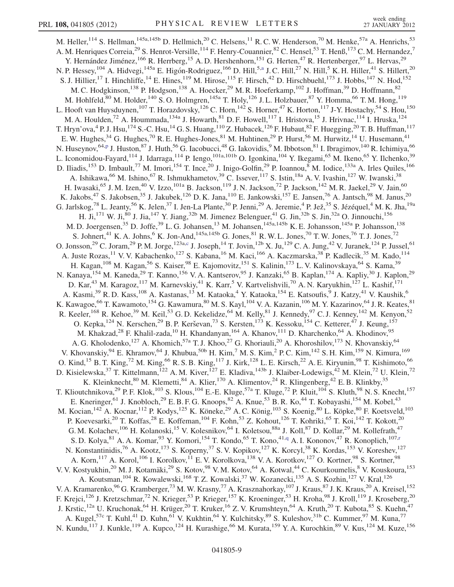<span id="page-8-1"></span><span id="page-8-0"></span>M. Heller,  $^{114}$  S. Hellman,  $^{145a,145b}$  D. Hellmich,  $^{20}$  C. Helsens,  $^{11}$  R. C. W. Henderson,  $^{70}$  M. Henke,  $^{57a}$  A. Henrichs,  $^{53}$ A. M. Henriques Correia,<sup>29</sup> S. Henrot-Versille,<sup>114</sup> F. Henry-Couannier,<sup>82</sup> C. Hensel,<sup>53</sup> T. Henß,<sup>173</sup> C. M. Hernandez,<sup>7</sup> Y. Hernández Jiménez,<sup>166</sup> R. Herrberg,<sup>15</sup> A. D. Hershenhorn,<sup>151</sup> G. Herten,<sup>47</sup> R. Hertenberger,<sup>97</sup> L. Hervas,<sup>29</sup> N. P. Hessey,<sup>104</sup> A. Hidvegi,<sup>145a</sup> E. Higón-Rodriguez,<sup>166</sup> D. Hill,<sup>5[,a](#page-17-4)</sup> J. C. Hill,<sup>27</sup> N. Hill,<sup>5</sup> K. H. Hiller,<sup>41</sup> S. Hillert,<sup>20</sup> S. J. Hillier,<sup>17</sup> I. Hinchliffe,<sup>14</sup> E. Hines,<sup>119</sup> M. Hirose,<sup>115</sup> F. Hirsch,<sup>42</sup> D. Hirschbuehl,<sup>173</sup> J. Hobbs,<sup>147</sup> N. Hod,<sup>152</sup> M. C. Hodgkinson,  $^{138}$  P. Hodgson,  $^{138}$  A. Hoecker,  $^{29}$  M. R. Hoeferkamp,  $^{102}$  J. Hoffman,  $^{39}$  D. Hoffmann,  $^{82}$ M. Hohlfeld,<sup>80</sup> M. Holder,<sup>140</sup> S. O. Holmgren,<sup>145a</sup> T. Holy,<sup>126</sup> J. L. Holzbauer,<sup>87</sup> Y. Homma,<sup>66</sup> T. M. Hong,<sup>119</sup> L. Hooft van Huysduynen,<sup>107</sup> T. Horazdovsky,<sup>126</sup> C. Horn,<sup>142</sup> S. Horner,<sup>47</sup> K. Horton,<sup>117</sup> J-Y. Hostachy,<sup>54</sup> S. Hou,<sup>150</sup> M. A. Houlden,<sup>72</sup> A. Hoummada,<sup>134a</sup> J. Howarth,<sup>81</sup> D. F. Howell,<sup>117</sup> I. Hristova,<sup>15</sup> J. Hrivnac,<sup>114</sup> I. Hruska,<sup>124</sup> T. Hryn'ova,<sup>4</sup> P. J. Hsu,<sup>174</sup> S.-C. Hsu,<sup>14</sup> G. S. Huang,<sup>110</sup> Z. Hubacek,<sup>126</sup> F. Hubaut,<sup>82</sup> F. Huegging,<sup>20</sup> T. B. Huffman,<sup>117</sup> E. W. Hughes,<sup>34</sup> G. Hughes,<sup>70</sup> R. E. Hughes-Jones,<sup>81</sup> M. Huhtinen,<sup>29</sup> P. Hurst,<sup>56</sup> M. Hurwitz,<sup>14</sup> U. Husemann,<sup>41</sup> N. Huseynov,<sup>64[,p](#page-17-15)</sup> J. Huston,<sup>87</sup> J. Huth,<sup>56</sup> G. Iacobucci,<sup>48</sup> G. Iakovidis,<sup>9</sup> M. Ibbotson,<sup>81</sup> I. Ibragimov,<sup>140</sup> R. Ichimiya,<sup>66</sup> L. Iconomidou-Fayard,<sup>114</sup> J. Idarraga,<sup>114</sup> P. Iengo,<sup>101a,101b</sup> O. Igonkina,<sup>104</sup> Y. Ikegami,<sup>65</sup> M. Ikeno,<sup>65</sup> Y. Ilchenko,<sup>39</sup> D. Iliadis,<sup>153</sup> D. Imbault,<sup>77</sup> M. Imori,<sup>154</sup> T. Ince,<sup>20</sup> J. Inigo-Golfin,<sup>29</sup> P. Ioannou,<sup>8</sup> M. Iodice,<sup>133a</sup> A. Irles Quiles,<sup>166</sup> A. Ishikawa,<sup>66</sup> M. Ishino,<sup>67</sup> R. Ishmukhametov,<sup>39</sup> C. Issever,<sup>117</sup> S. Istin,<sup>18a</sup> A. V. Ivashin,<sup>127</sup> W. Iwanski,<sup>38</sup> H. Iwasaki,<sup>65</sup> J. M. Izen,<sup>40</sup> V. Izzo,<sup>101a</sup> B. Jackson,<sup>119</sup> J. N. Jackson,<sup>72</sup> P. Jackson,<sup>142</sup> M. R. Jaekel,<sup>29</sup> V. Jain,<sup>60</sup> K. Jakobs,<sup>47</sup> S. Jakobsen,<sup>35</sup> J. Jakubek,<sup>126</sup> D. K. Jana,<sup>110</sup> E. Jankowski,<sup>157</sup> E. Jansen,<sup>76</sup> A. Jantsch,<sup>98</sup> M. Janus,<sup>20</sup> G. Jarlskog,<sup>78</sup> L. Jeanty,<sup>56</sup> K. Jelen,<sup>37</sup> I. Jen-La Plante,<sup>30</sup> P. Jenni,<sup>29</sup> A. Jeremie,<sup>4</sup> P. Jež,<sup>35</sup> S. Jézéquel,<sup>4</sup> M. K. Jha,<sup>19a</sup> H. Ji,<sup>171</sup> W. Ji,<sup>80</sup> J. Jia,<sup>147</sup> Y. Jiang,<sup>32b</sup> M. Jimenez Belenguer,<sup>41</sup> G. Jin,<sup>32b</sup> S. Jin,<sup>32a</sup> O. Jinnouchi,<sup>156</sup> M. D. Joergensen,<sup>35</sup> D. Joffe,<sup>39</sup> L. G. Johansen,<sup>13</sup> M. Johansen,<sup>145a,145b</sup> K. E. Johansson,<sup>145a</sup> P. Johansson,<sup>138</sup> S. Johnert,<sup>41</sup> K. A. Johns,<sup>6</sup> K. Jon-And,<sup>145a,145b</sup> G. Jones,<sup>81</sup> R. W. L. Jones,<sup>70</sup> T. W. Jones,<sup>76</sup> T. J. Jones,<sup>72</sup> O. Jonsson,<sup>29</sup> C. Joram,<sup>29</sup> P. M. Jorge,<sup>123a[,c](#page-17-1)</sup> J. Joseph,<sup>14</sup> T. Jovin,<sup>12b</sup> X. Ju,<sup>129</sup> C. A. Jung,<sup>42</sup> V. Juranek,<sup>124</sup> P. Jussel,<sup>61</sup> A. Juste Rozas,<sup>11</sup> V. V. Kabachenko,<sup>127</sup> S. Kabana,<sup>16</sup> M. Kaci,<sup>166</sup> A. Kaczmarska,<sup>38</sup> P. Kadlecik,<sup>35</sup> M. Kado,<sup>114</sup> H. Kagan, <sup>108</sup> M. Kagan, <sup>56</sup> S. Kaiser, <sup>98</sup> E. Kajomovitz, <sup>151</sup> S. Kalinin, <sup>173</sup> L. V. Kalinovskaya, <sup>64</sup> S. Kama, <sup>39</sup> N. Kanaya, <sup>154</sup> M. Kaneda, <sup>29</sup> T. Kanno, <sup>156</sup> V. A. Kantserov, <sup>95</sup> J. Kanzaki, <sup>65</sup> B. Kaplan, <sup>174</sup> A. Kapliy, <sup>30</sup> J. Kaplon, <sup>29</sup> D. Kar,<sup>43</sup> M. Karagoz,<sup>117</sup> M. Karnevskiy,<sup>41</sup> K. Karr,<sup>5</sup> V. Kartvelishvili,<sup>70</sup> A. N. Karyukhin,<sup>127</sup> L. Kashif,<sup>171</sup> A. Kasmi,<sup>39</sup> R. D. Kass,<sup>108</sup> A. Kastanas,<sup>13</sup> M. Kataoka,<sup>4</sup> Y. Kataoka,<sup>154</sup> E. Katsoufis,<sup>9</sup> J. Katzy,<sup>41</sup> V. Kaushik,<sup>6</sup> K. Kawagoe,<sup>66</sup> T. Kawamoto, <sup>154</sup> G. Kawamura, <sup>80</sup> M. S. Kayl, <sup>104</sup> V. A. Kazanin, <sup>106</sup> M. Y. Kazarinov, <sup>64</sup> J. R. Keates, <sup>81</sup> R. Keeler,<sup>168</sup> R. Kehoe,<sup>39</sup> M. Keil,<sup>53</sup> G. D. Kekelidze,<sup>64</sup> M. Kelly,<sup>81</sup> J. Kennedy,<sup>97</sup> C. J. Kenney,<sup>142</sup> M. Kenyon,<sup>52</sup> O. Kepka,<sup>124</sup> N. Kerschen,<sup>29</sup> B. P. Kerševan,<sup>73</sup> S. Kersten,<sup>173</sup> K. Kessoku,<sup>154</sup> C. Ketterer,<sup>47</sup> J. Keung,<sup>157</sup> M. Khakzad,<sup>28</sup> F. Khalil-zada,<sup>10</sup> H. Khandanyan,<sup>164</sup> A. Khanov,<sup>111</sup> D. Kharchenko,<sup>64</sup> A. Khodinov,<sup>95</sup> A. G. Kholodenko, <sup>127</sup> A. Khomich, <sup>57a</sup> T. J. Khoo, <sup>27</sup> G. Khoriauli, <sup>20</sup> A. Khoroshilov, <sup>173</sup> N. Khovanskiy, <sup>64</sup> V. Khovanskiy,  $94$  E. Khramov,  $64$  J. Khubua,  $50$ <sup>b</sup> H. Kim,  $^7$  M. S. Kim,  $^2$  P. C. Kim,  $^{142}$  S. H. Kim,  $^{159}$  N. Kimura,  $^{169}$ O. Kind,<sup>15</sup> B. T. King,<sup>72</sup> M. King,<sup>66</sup> R. S. B. King,<sup>117</sup> J. Kirk,<sup>128</sup> L. E. Kirsch,<sup>22</sup> A. E. Kiryunin,<sup>98</sup> T. Kishimoto,<sup>66</sup> D. Kisielewska,<sup>37</sup> T. Kittelmann,<sup>122</sup> A. M. Kiver,<sup>127</sup> E. Kladiva,<sup>143b</sup> J. Klaiber-Lodewigs,<sup>42</sup> M. Klein,<sup>72</sup> U. Klein,<sup>72</sup> K. Kleinknecht,  $80$  M. Klemetti,  $84$  A. Klier,  $170$  A. Klimentov,  $24$  R. Klingenberg,  $42$  E. B. Klinkby,  $35$ T. Klioutchnikova,<sup>29</sup> P. F. Klok,<sup>103</sup> S. Klous,<sup>104</sup> E.-E. Kluge,<sup>57a</sup> T. Kluge,<sup>72</sup> P. Kluit,<sup>104</sup> S. Kluth,<sup>98</sup> N. S. Knecht,<sup>157</sup> E. Kneringer,<sup>61</sup> J. Knobloch,<sup>29</sup> E. B. F. G. Knoops,<sup>82</sup> A. Knue,<sup>53</sup> B. R. Ko,<sup>44</sup> T. Kobayashi,<sup>154</sup> M. Kobel,<sup>43</sup> M. Kocian,<sup>142</sup> A. Kocnar,<sup>112</sup> P. Kodys,<sup>125</sup> K. Köneke,<sup>29</sup> A. C. König,<sup>103</sup> S. Koenig,<sup>80</sup> L. Köpke,<sup>80</sup> F. Koetsveld,<sup>103</sup> P. Koevesarki,<sup>20</sup> T. Koffas,<sup>28</sup> E. Koffeman,<sup>104</sup> F. Kohn,<sup>53</sup> Z. Kohout,<sup>126</sup> T. Kohriki,<sup>65</sup> T. Koi,<sup>142</sup> T. Kokott,<sup>20</sup> G. M. Kolachev,<sup>106</sup> H. Kolanoski,<sup>15</sup> V. Kolesnikov,<sup>64</sup> I. Koletsou,<sup>88a</sup> J. Koll,<sup>87</sup> D. Kollar,<sup>29</sup> M. Kollefrath,<sup>47</sup> S. D. Kolya, <sup>81</sup> A. A. Komar, <sup>93</sup> Y. Komori, <sup>154</sup> T. Kondo, <sup>65</sup> T. Kono, <sup>41,[q](#page-17-16)</sup> A. I. Kononov, <sup>47</sup> R. Konoplich, <sup>107,[r](#page-17-17)</sup> N. Konstantinidis,<sup>76</sup> A. Kootz,<sup>173</sup> S. Koperny,<sup>37</sup> S. V. Kopikov,<sup>127</sup> K. Korcyl,<sup>38</sup> K. Kordas,<sup>153</sup> V. Koreshev,<sup>127</sup> A. Korn,<sup>117</sup> A. Korol,<sup>106</sup> I. Korolkov,<sup>11</sup> E. V. Korolkova,<sup>138</sup> V. A. Korotkov,<sup>127</sup> O. Kortner,<sup>98</sup> S. Kortner,<sup>98</sup> V. V. Kostyukhin,<sup>20</sup> M. J. Kotamäki,<sup>29</sup> S. Kotov,<sup>98</sup> V. M. Kotov,<sup>64</sup> A. Kotwal,<sup>44</sup> C. Kourkoumelis,<sup>8</sup> V. Kouskoura,<sup>153</sup> A. Koutsman, <sup>104</sup> R. Kowalewski, <sup>168</sup> T. Z. Kowalski, <sup>37</sup> W. Kozanecki, <sup>135</sup> A. S. Kozhin, <sup>127</sup> V. Kral, <sup>126</sup> V. A. Kramarenko, <sup>96</sup> G. Kramberger, <sup>73</sup> M. W. Krasny, <sup>77</sup> A. Krasznahorkay, <sup>107</sup> J. Kraus, <sup>87</sup> J. K. Kraus, <sup>20</sup> A. Kreisel, <sup>152</sup> F. Krejci,<sup>126</sup> J. Kretzschmar,<sup>72</sup> N. Krieger,<sup>53</sup> P. Krieger,<sup>157</sup> K. Kroeninger,<sup>53</sup> H. Kroha,<sup>98</sup> J. Kroll,<sup>119</sup> J. Kroseberg,<sup>20</sup> J. Krstic,<sup>12a</sup> U. Kruchonak,<sup>64</sup> H. Krüger,<sup>20</sup> T. Kruker,<sup>16</sup> Z. V. Krumshteyn,<sup>64</sup> A. Kruth,<sup>20</sup> T. Kubota,<sup>85</sup> S. Kuehn,<sup>47</sup> A. Kugel,<sup>57c</sup> T. Kuhl,<sup>41</sup> D. Kuhn,<sup>61</sup> V. Kukhtin,<sup>64</sup> Y. Kulchitsky,<sup>89</sup> S. Kuleshov,<sup>31b</sup> C. Kummer,<sup>97</sup> M. Kuna,<sup>77</sup> N. Kundu,<sup>117</sup> J. Kunkle,<sup>119</sup> A. Kupco,<sup>124</sup> H. Kurashige,<sup>66</sup> M. Kurata,<sup>159</sup> Y. A. Kurochkin,<sup>89</sup> V. Kus,<sup>124</sup> M. Kuze,<sup>156</sup>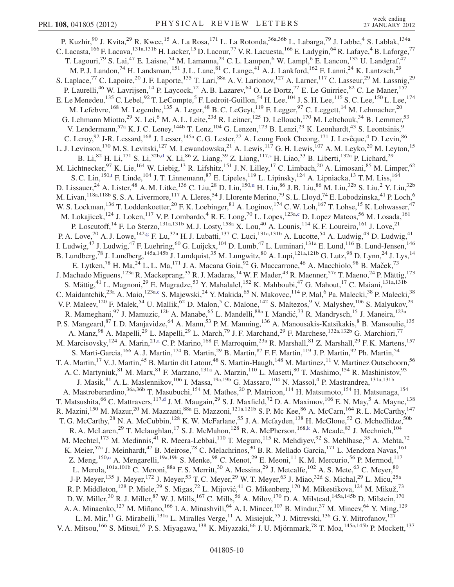<span id="page-9-2"></span><span id="page-9-1"></span><span id="page-9-0"></span>P. Kuzhir,<sup>90</sup> J. Kvita,<sup>29</sup> R. Kwee,<sup>15</sup> A. La Rosa,<sup>171</sup> L. La Rotonda,<sup>36a,36b</sup> L. Labarga,<sup>79</sup> J. Labbe,<sup>4</sup> S. Lablak,<sup>134a</sup> C. Lacasta, <sup>166</sup> F. Lacava, <sup>131a, 131b</sup> H. Lacker, <sup>15</sup> D. Lacour, <sup>77</sup> V. R. Lacuesta, <sup>166</sup> E. Ladygin, <sup>64</sup> R. Lafaye, <sup>4</sup> B. Laforge, <sup>77</sup> T. Lagouri,<sup>79</sup> S. Lai,<sup>47</sup> E. Laisne,<sup>54</sup> M. Lamanna,<sup>29</sup> C. L. Lampen,<sup>6</sup> W. Lampl,<sup>6</sup> E. Lancon,<sup>135</sup> U. Landgraf,<sup>47</sup> M. P. J. Landon,<sup>74</sup> H. Landsman,<sup>151</sup> J. L. Lane,<sup>81</sup> C. Lange,<sup>41</sup> A. J. Lankford,<sup>162</sup> F. Lanni,<sup>24</sup> K. Lantzsch,<sup>29</sup> S. Laplace,<sup>77</sup> C. Lapoire,<sup>20</sup> J. F. Laporte,<sup>135</sup> T. Lari,<sup>88a</sup> A. V. Larionov,<sup>127</sup> A. Larner,<sup>117</sup> C. Lasseur,<sup>29</sup> M. Lassnig,<sup>29</sup> P. Laurelli,<sup>46</sup> W. Lavrijsen,<sup>14</sup> P. Laycock,<sup>72</sup> A. B. Lazarev,<sup>64</sup> O. Le Dortz,<sup>77</sup> E. Le Guirriec,<sup>82</sup> C. Le Maner,<sup>157</sup> E. Le Menedeu, $^{135}$  C. Lebel, $^{92}$  T. LeCompte, $^5$  F. Ledroit-Guillon, $^{54}$  H. Lee, $^{104}$  J. S. H. Lee, $^{115}$  S. C. Lee, $^{150}$  L. Lee, $^{174}$ M. Lefebvre,<sup>168</sup> M. Legendre,<sup>135</sup> A. Leger,<sup>48</sup> B. C. LeGeyt,<sup>119</sup> F. Legger,<sup>97</sup> C. Leggett,<sup>14</sup> M. Lehmacher,<sup>20</sup> G. Lehmann Miotto,<sup>29</sup> X. Lei,<sup>6</sup> M. A. L. Leite,<sup>23d</sup> R. Leitner,<sup>125</sup> D. Lellouch,<sup>170</sup> M. Leltchouk,<sup>34</sup> B. Lemmer,<sup>53</sup> V. Lendermann,<sup>57a</sup> K. J. C. Leney,<sup>144b</sup> T. Lenz,<sup>104</sup> G. Lenzen,<sup>173</sup> B. Lenzi,<sup>29</sup> K. Leonhardt,<sup>43</sup> S. Leontsinis,<sup>9</sup> C. Leroy, <sup>92</sup> J-R. Lessard, <sup>168</sup> J. Lesser, <sup>145a</sup> C. G. Lester, <sup>27</sup> A. Leung Fook Cheong, <sup>171</sup> J. Levêque, <sup>4</sup> D. Levin, <sup>86</sup> L. J. Levinson,<sup>170</sup> M. S. Levitski,<sup>127</sup> M. Lewandowska,<sup>21</sup> A. Lewis,<sup>117</sup> G. H. Lewis,<sup>107</sup> A. M. Leyko,<sup>20</sup> M. Leyton,<sup>15</sup> B. Li,<sup>82</sup> H. Li,<sup>171</sup> S. Li,<sup>32b[,d](#page-17-2)</sup> X. Li,<sup>86</sup> Z. Liang,<sup>39</sup> Z. Liang,<sup>117[,s](#page-17-18)</sup> H. Liao,<sup>33</sup> B. Liberti,<sup>132a</sup> P. Lichard,<sup>29</sup> M. Lichtnecker,<sup>97</sup> K. Lie,<sup>164</sup> W. Liebig,<sup>13</sup> R. Lifshitz,<sup>151</sup> J. N. Lilley,<sup>17</sup> C. Limbach,<sup>20</sup> A. Limosani,<sup>85</sup> M. Limper,<sup>62</sup> S. C. Lin,<sup>150,[t](#page-17-19)</sup> F. Linde,<sup>104</sup> J. T. Linnemann,<sup>87</sup> E. Lipeles,<sup>119</sup> L. Lipinsky,<sup>124</sup> A. Lipniacka,<sup>13</sup> T. M. Liss,<sup>164</sup> D. Lissa[u](#page-17-20)er,<sup>24</sup> A. Lister,<sup>48</sup> A. M. Litke,<sup>136</sup> C. Liu,<sup>28</sup> D. Liu,<sup>150,u</sup> H. Liu,<sup>86</sup> J. B. Liu,<sup>86</sup> M. Liu,<sup>32b</sup> S. Liu,<sup>2</sup> Y. Liu,<sup>32b</sup> M. Livan, <sup>118a, 118b</sup> S. S. A. Livermore, <sup>117</sup> A. Lleres, <sup>54</sup> J. Llorente Merino, <sup>79</sup> S. L. Lloyd, <sup>74</sup> E. Lobodzinska, <sup>41</sup> P. Loch, <sup>6</sup> W. S. Lockman, <sup>136</sup> T. Loddenkoetter, <sup>20</sup> F. K. Loebinger, <sup>81</sup> A. Loginov, <sup>174</sup> C. W. Loh, <sup>167</sup> T. Lohse, <sup>15</sup> K. Lohwasser, <sup>47</sup> M. Lokaji[c](#page-17-1)ek,<sup>124</sup> J. Loken,<sup>117</sup> V. P. Lombardo,<sup>4</sup> R. E. Long,<sup>70</sup> L. Lopes,<sup>123a,c</sup> D. Lopez Mateos,<sup>56</sup> M. Losada,<sup>161</sup> P. Loscutoff,<sup>14</sup> F. Lo Sterzo,<sup>131a,131b</sup> M. J. Losty,<sup>158a</sup> X. Lou,<sup>40</sup> A. Lounis,<sup>114</sup> K. F. Loureiro,<sup>161</sup> J. Love,<sup>21</sup> P. A. Love,<sup>70</sup> A. J. Lowe,<sup>142[,g](#page-17-6)</sup> F. Lu,<sup>32a</sup> H. J. Lubatti,<sup>137</sup> C. Luci,<sup>131a,131b</sup> A. Lucotte,<sup>54</sup> A. Ludwig,<sup>43</sup> D. Ludwig,<sup>41</sup> I. Ludwig,<sup>47</sup> J. Ludwig,<sup>47</sup> F. Luehring,<sup>60</sup> G. Luijckx,<sup>104</sup> D. Lumb,<sup>47</sup> L. Luminari,<sup>131a</sup> E. Lund,<sup>116</sup> B. Lund-Jensen,<sup>146</sup> B. Lundberg,<sup>78</sup> J. Lundberg,<sup>145a,145b</sup> J. Lundquist,<sup>35</sup> M. Lungwitz,<sup>80</sup> A. Lupi,<sup>121a,121b</sup> G. Lutz,<sup>98</sup> D. Lynn,<sup>24</sup> J. Lys,<sup>14</sup> E. Lytken,<sup>78</sup> H. Ma,<sup>24</sup> L. L. Ma,<sup>171</sup> J. A. Macana Goia,<sup>92</sup> G. Maccarrone,<sup>46</sup> A. Macchiolo,<sup>98</sup> B. Maček,<sup>73</sup> J. Machado Miguens,<sup>123a</sup> R. Mackeprang,<sup>35</sup> R. J. Madaras,<sup>14</sup> W. F. Mader,<sup>43</sup> R. Maenner,<sup>57c</sup> T. Maeno,<sup>24</sup> P. Mättig,<sup>173</sup> S. Mättig,<sup>41</sup> L. Magnoni,<sup>29</sup> E. Magradze,<sup>53</sup> Y. Mahalalel,<sup>152</sup> K. Mahboubi,<sup>47</sup> G. Mahout,<sup>17</sup> C. Maiani,<sup>131a,131b</sup> C. Maidant[c](#page-17-1)hik,<sup>23a</sup> A. Maio,<sup>123a,c</sup> S. Majewski,<sup>24</sup> Y. Makida,<sup>65</sup> N. Makovec,<sup>114</sup> P. Mal,<sup>6</sup> Pa. Malecki,<sup>38</sup> P. Malecki,<sup>38</sup> V. P. Maleev,<sup>120</sup> F. Malek,<sup>54</sup> U. Mallik,<sup>62</sup> D. Malon,<sup>5</sup> C. Malone,<sup>142</sup> S. Maltezos,<sup>9</sup> V. Malyshev,<sup>106</sup> S. Malyukov,<sup>29</sup> R. Mameghani, <sup>97</sup> J. Mamuzic, <sup>12b</sup> A. Manabe, <sup>65</sup> L. Mandelli, <sup>88a</sup> I. Mandić, <sup>73</sup> R. Mandrysch, <sup>15</sup> J. Maneira, <sup>123a</sup> P. S. Mangeard, <sup>87</sup> I. D. Manjavidze, <sup>64</sup> A. Mann, <sup>53</sup> P. M. Manning, <sup>136</sup> A. Manousakis-Katsikakis, <sup>8</sup> B. Mansoulie, <sup>135</sup> A. Manz,<sup>98</sup> A. Mapelli,<sup>29</sup> L. Mapelli,<sup>29</sup> L. March,<sup>79</sup> J. F. Marchand,<sup>29</sup> F. Marchese,<sup>132a,132b</sup> G. Marchiori,<sup>77</sup> M. Marcisovsky, <sup>124</sup> A. Marin, <sup>21[,a](#page-17-4)</sup> C. P. Marino, <sup>168</sup> F. Marroquim, <sup>23a</sup> R. Marshall, <sup>81</sup> Z. Marshall, <sup>29</sup> F. K. Martens, <sup>157</sup> S. Marti-Garcia,<sup>166</sup> A. J. Martin,<sup>174</sup> B. Martin,<sup>29</sup> B. Martin,<sup>87</sup> F. F. Martin,<sup>119</sup> J. P. Martin,<sup>92</sup> Ph. Martin,<sup>54</sup> T. A. Martin,<sup>17</sup> V. J. Martin,<sup>45</sup> B. Martin dit Latour,<sup>48</sup> S. Martin-Haugh,<sup>148</sup> M. Martinez,<sup>11</sup> V. Martinez Outschoorn,<sup>56</sup> A. C. Martyniuk, <sup>81</sup> M. Marx, <sup>81</sup> F. Marzano, <sup>131a</sup> A. Marzin, <sup>110</sup> L. Masetti, <sup>80</sup> T. Mashimo, <sup>154</sup> R. Mashinistov, <sup>93</sup> J. Masik, <sup>81</sup> A. L. Maslennikov, <sup>106</sup> I. Massa, <sup>19a, 19b</sup> G. Massaro, <sup>104</sup> N. Massol, <sup>4</sup> P. Mastrandrea, <sup>131a, 131b</sup> A. Mastroberardino,<sup>36a,36b</sup> T. Masubuchi,<sup>154</sup> M. Mathes,<sup>20</sup> P. Matricon,<sup>114</sup> H. Matsumoto,<sup>154</sup> H. Matsunaga,<sup>154</sup> T. Matsushita,  $^{66}$  C. Mattravers,  $^{117, d}$  $^{117, d}$  $^{117, d}$  J. M. Maugain,  $^{29}$  S. J. Maxfield,  $^{72}$  D. A. Maximov,  $^{106}$  E. N. May,  $^5$  A. Mayne,  $^{138}$ R. Mazini,<sup>150</sup> M. Mazur,<sup>20</sup> M. Mazzanti,<sup>88a</sup> E. Mazzoni,<sup>121a,121b</sup> S.P. Mc Kee,<sup>86</sup> A. McCarn,<sup>164</sup> R.L. McCarthy,<sup>147</sup> T. G. McCarthy,<sup>28</sup> N. A. McCubbin,<sup>128</sup> K. W. McFarlane,<sup>55</sup> J. A. Mcfayden,<sup>138</sup> H. McGlone,<sup>52</sup> G. Mchedlidze,<sup>50b</sup> R. A. McLaren,<sup>29</sup> T. Mclaughlan,<sup>17</sup> S. J. McMahon,<sup>128</sup> R. A. McPherson,<sup>168[,k](#page-17-10)</sup> A. Meade,<sup>83</sup> J. Mechnich,<sup>104</sup> M. Mechtel,<sup>173</sup> M. Medinnis,<sup>41</sup> R. Meera-Lebbai,<sup>110</sup> T. Meguro,<sup>115</sup> R. Mehdiyev,<sup>92</sup> S. Mehlhase,<sup>35</sup> A. Mehta,<sup>72</sup> K. Meier,<sup>57a</sup> J. Meinhardt,<sup>47</sup> B. Meirose,<sup>78</sup> C. Melachrinos,<sup>30</sup> B. R. Mellado Garcia,<sup>171</sup> L. Mendoza Navas,<sup>161</sup> Z. Meng,<s[u](#page-17-20)p>150,u</sup> A. Mengarelli,<sup>19a,19b</sup> S. Menke,<sup>98</sup> C. Menot,<sup>29</sup> E. Meoni,<sup>11</sup> K. M. Mercurio,<sup>56</sup> P. Mermod,<sup>117</sup> L. Merola,  $^{101a,101b}$  C. Meroni,  $^{88a}$  F. S. Merritt,  $^{30}$  A. Messina,  $^{29}$  J. Metcalfe,  $^{102}$  A. S. Mete,  $^{63}$  C. Meyer,  $^{80}$ J-P. Meyer,<sup>135</sup> J. Meyer,<sup>172</sup> J. Meyer,<sup>53</sup> T.C. Meyer,<sup>29</sup> W.T. Meyer,<sup>63</sup> J. Miao,<sup>32d</sup> S. Michal,<sup>29</sup> L. Micu,<sup>25a</sup> R. P. Middleton,  $^{128}$  P. Miele,  $^{29}$  S. Migas,  $^{72}$  L. Mijović,  $^{41}$  G. Mikenberg,  $^{170}$  M. Mikestikova,  $^{124}$  M. Mikuž,  $^{73}$ D. W. Miller,<sup>30</sup> R. J. Miller,<sup>87</sup> W. J. Mills,<sup>167</sup> C. Mills,<sup>56</sup> A. Milov,<sup>170</sup> D. A. Milstead,<sup>145a,145b</sup> D. Milstein,<sup>170</sup> A. A. Minaenko,<sup>127</sup> M. Miñano,<sup>166</sup> I. A. Minashvili,<sup>64</sup> A. I. Mincer,<sup>107</sup> B. Mindur,<sup>37</sup> M. Mineev,<sup>64</sup> Y. Ming,<sup>129</sup> L. M. Mir,<sup>11</sup> G. Mirabelli,<sup>131a</sup> L. Miralles Verge,<sup>11</sup> A. Misiejuk,<sup>75</sup> J. Mitrevski,<sup>136</sup> G. Y. Mitrofanov,<sup>127</sup> V. A. Mitsou,<sup>166</sup> S. Mitsui,<sup>65</sup> P. S. Miyagawa,<sup>138</sup> K. Miyazaki,<sup>66</sup> J. U. Mjörnmark,<sup>78</sup> T. Moa,<sup>145a,145b</sup> P. Mockett,<sup>137</sup>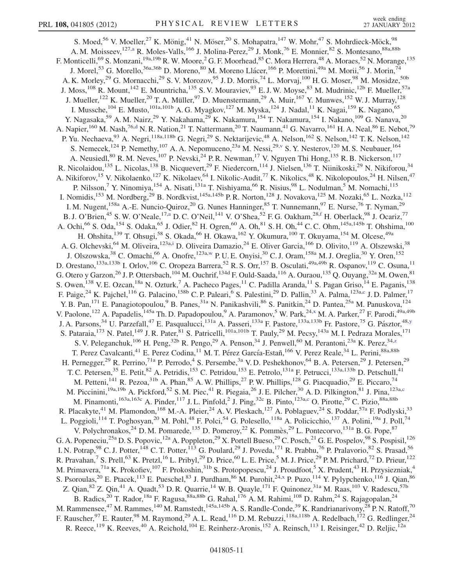<span id="page-10-4"></span><span id="page-10-3"></span><span id="page-10-2"></span><span id="page-10-1"></span><span id="page-10-0"></span>S. Moed,<sup>56</sup> V. Moeller,<sup>27</sup> K. Mönig,<sup>41</sup> N. Möser,<sup>20</sup> S. Mohapatra,<sup>147</sup> W. Mohr,<sup>47</sup> S. Mohrdieck-Möck,<sup>98</sup> A. M. Moisseev, <sup>127,[a](#page-17-4)</sup> R. Moles-Valls, <sup>166</sup> J. Molina-Perez, <sup>29</sup> J. Monk, <sup>76</sup> E. Monnier, <sup>82</sup> S. Montesano, <sup>88a, 88b</sup> F. Monticelli,<sup>69</sup> S. Monzani,<sup>19a,19b</sup> R. W. Moore,<sup>2</sup> G. F. Moorhead,<sup>85</sup> C. Mora Herrera,<sup>48</sup> A. Moraes,<sup>52</sup> N. Morange,<sup>135</sup> J. Morel,<sup>53</sup> G. Morello,<sup>36a,36b</sup> D. Moreno,<sup>80</sup> M. Moreno Llácer,<sup>166</sup> P. Morettini,<sup>49a</sup> M. Morii,<sup>56</sup> J. Morin,<sup>74</sup> A. K. Morley,<sup>29</sup> G. Mornacchi,<sup>29</sup> S. V. Morozov,<sup>95</sup> J. D. Morris,<sup>74</sup> L. Morvaj,<sup>100</sup> H. G. Moser,<sup>98</sup> M. Mosidze,<sup>50b</sup> J. Moss,<sup>108</sup> R. Mount,<sup>142</sup> E. Mountricha,<sup>135</sup> S. V. Mouraviev,<sup>93</sup> E. J. W. Moyse,<sup>83</sup> M. Mudrinic,<sup>12b</sup> F. Mueller,<sup>57a</sup> J. Mueller,<sup>122</sup> K. Mueller,<sup>20</sup> T. A. Müller,<sup>97</sup> D. Muenstermann,<sup>29</sup> A. Muir,<sup>167</sup> Y. Munwes,<sup>152</sup> W. J. Murray,<sup>128</sup> I. Mussche,<sup>104</sup> E. Musto,<sup>101a,101b</sup> A. G. Myagkov,<sup>127</sup> M. Myska,<sup>124</sup> J. Nadal,<sup>11</sup> K. Nagai,<sup>159</sup> K. Nagano,<sup>65</sup> Y. Nagasaka,<sup>59</sup> A. M. Nairz,<sup>29</sup> Y. Nakahama,<sup>29</sup> K. Nakamura,<sup>154</sup> T. Nakamura,<sup>154</sup> I. Nakano,<sup>109</sup> G. Nanava,<sup>20</sup> A. Napier,<sup>160</sup> M. Nash,<sup>76,[d](#page-17-2)</sup> N. R. Nation,<sup>21</sup> T. Nattermann,<sup>20</sup> T. Naumann,<sup>41</sup> G. Navarro,<sup>161</sup> H. A. Neal,<sup>86</sup> E. Nebot,<sup>79</sup> P. Yu. Nechaeva, <sup>93</sup> A. Negri, <sup>118a,118b</sup> G. Negri, <sup>29</sup> S. Nektarijevic, <sup>48</sup> A. Nelson, <sup>162</sup> S. Nelson, <sup>142</sup> T. K. Nelson, <sup>142</sup> S. Nemecek,<sup>124</sup> P. Nemethy,<sup>107</sup> A. A. Nepomuceno,<sup>23a</sup> M. Nessi,<sup>29,[v](#page-17-21)</sup> S. Y. Nesterov,<sup>120</sup> M. S. Neubauer,<sup>164</sup> A. Neusiedl,<sup>80</sup> R. M. Neves,<sup>107</sup> P. Nevski,<sup>24</sup> P. R. Newman,<sup>17</sup> V. Nguyen Thi Hong,<sup>135</sup> R. B. Nickerson,<sup>117</sup> R. Nicolaidou,<sup>135</sup> L. Nicolas,<sup>138</sup> B. Nicquevert,<sup>29</sup> F. Niedercorn,<sup>114</sup> J. Nielsen,<sup>136</sup> T. Niinikoski,<sup>29</sup> N. Nikiforou,<sup>34</sup> A. Nikiforov,<sup>15</sup> V. Nikolaenko,<sup>127</sup> K. Nikolaev,<sup>64</sup> I. Nikolic-Audit,<sup>77</sup> K. Nikolics,<sup>48</sup> K. Nikolopoulos,<sup>24</sup> H. Nilsen,<sup>47</sup> P. Nilsson,<sup>7</sup> Y. Ninomiya, <sup>154</sup> A. Nisati, <sup>131a</sup> T. Nishiyama, <sup>66</sup> R. Nisius, <sup>98</sup> L. Nodulman, <sup>5</sup> M. Nomachi, <sup>115</sup> I. Nomidis,<sup>153</sup> M. Nordberg,<sup>29</sup> B. Nordkvist,<sup>145a,145b</sup> P. R. Norton,<sup>128</sup> J. Novakova,<sup>125</sup> M. Nozaki,<sup>65</sup> L. Nozka,<sup>112</sup> I. M. Nugent, <sup>158a</sup> A.-E. Nuncio-Quiroz, <sup>20</sup> G. Nunes Hanninger, <sup>85</sup> T. Nunnemann, <sup>97</sup> E. Nurse, <sup>76</sup> T. Nyman, <sup>29</sup> B. J. O'Brien,<sup>45</sup> S. W. O'Ne[a](#page-17-4)le,<sup>17,a</sup> D. C. O'Neil,<sup>141</sup> V. O'Shea,<sup>52</sup> F. G. Oakham,<sup>28,[f](#page-17-5)</sup> H. Oberlack,<sup>98</sup> J. Ocariz,<sup>77</sup> A. Ochi,<sup>66</sup> S. Oda,<sup>154</sup> S. Odaka,<sup>65</sup> J. Odier,<sup>82</sup> H. Ogren,<sup>60</sup> A. Oh,<sup>81</sup> S. H. Oh,<sup>44</sup> C. C. Ohm,<sup>145a,145b</sup> T. Ohshima,<sup>100</sup> H. Ohshita, <sup>139</sup> T. Ohsugi, <sup>58</sup> S. Okada, <sup>66</sup> H. Okawa, <sup>162</sup> Y. Okumura, <sup>100</sup> T. Okuyama, <sup>154</sup> M. Olcese, <sup>49a</sup> A. G. Olchevski, <sup>64</sup> M. Oliveira, <sup>123a[,i](#page-17-8)</sup> D. Oliveira Damazio, <sup>24</sup> E. Oliver Garcia, <sup>166</sup> D. Olivito, <sup>119</sup> A. Olszewski, <sup>38</sup> J. Olszowska,<sup>38</sup> C. Omachi,<sup>66</sup> A. Onofre,<sup>123a[,w](#page-17-22)</sup> P. U. E. Onyisi,<sup>30</sup> C. J. Oram,<sup>158a</sup> M. J. Oreglia,<sup>30</sup> Y. Oren,<sup>152</sup> D. Orestano,<sup>133a,133b</sup> I. Orlov,<sup>106</sup> C. Oropeza Barrera,<sup>52</sup> R. S. Orr,<sup>157</sup> B. Osculati,<sup>49a,49b</sup> R. Ospanov,<sup>119</sup> C. Osuna,<sup>11</sup> G. Otero y Garzon,<sup>26</sup> J. P. Ottersbach, <sup>104</sup> M. Ouchrif, <sup>134d</sup> F. Ould-Saada, <sup>116</sup> A. Ouraou, <sup>135</sup> Q. Ouyang, <sup>32a</sup> M. Owen, <sup>81</sup> S. Owen,<sup>138</sup> V. E. Ozcan,<sup>18a</sup> N. Ozturk,<sup>7</sup> A. Pacheco Pages,<sup>11</sup> C. Padilla Aranda,<sup>11</sup> S. Pagan Griso,<sup>14</sup> E. Paganis,<sup>138</sup> F. Paige,<sup>24</sup> K. Pajchel,<sup>116</sup> G. Palacino,<sup>158b</sup> C. P. Paleari,<sup>6</sup> S. Palestini,<sup>29</sup> D. Pallin,<sup>33</sup> A. Palma,<sup>123a[,c](#page-17-1)</sup> J. D. Palmer,<sup>17</sup> Y. B. Pan,<sup>171</sup> E. Panagiotopoulou,<sup>9</sup> B. Panes,<sup>31a</sup> N. Panikashvili,<sup>86</sup> S. Panitkin,<sup>24</sup> D. Pantea,<sup>25a</sup> M. Panuskova,<sup>124</sup> V. Paolone, <sup>122</sup> A. Papadelis, <sup>145a</sup> Th. D. Papadopoulou, <sup>9</sup> A. Paramonov, <sup>5</sup> W. Park, <sup>24[,x](#page-17-23)</sup> M. A. Parker, <sup>27</sup> F. Parodi, <sup>49a, 49b</sup> J. A. Parsons,<sup>34</sup> U. Parzefall,<sup>47</sup> E. Pasqualucci,<sup>131a</sup> A. Passeri,<sup>133a</sup> F. Pastore,<sup>133a,133b</sup> Fr. Pastore,<sup>75</sup> G. Pásztor,<sup>48[,y](#page-17-24)</sup> S. Pataraia,<sup>173</sup> N. Patel,<sup>149</sup> J. R. Pater,<sup>81</sup> S. Patricelli,<sup>101a,101b</sup> T. Pauly,<sup>29</sup> M. Pecsy,<sup>143a</sup> M. I. Pedraza Morales,<sup>171</sup> S. V. Peleganchuk,<sup>106</sup> H. Peng,<sup>32b</sup> R. Pengo,<sup>29</sup> A. Penson,<sup>34</sup> J. Penwell,<sup>60</sup> M. Perantoni,<sup>23a</sup> K. Pere[z](#page-17-25),<sup>34,z</sup> T. Perez Cavalcanti, <sup>41</sup> E. Perez Codina, <sup>11</sup> M. T. Pérez García-Estañ, <sup>166</sup> V. Perez Reale, <sup>34</sup> L. Perini, <sup>88a, 88b</sup> H. Pernegger,<sup>29</sup> R. Perrino,<sup>71a</sup> P. Perrodo,<sup>4</sup> S. Persembe,<sup>3a</sup> V.D. Peshekhonov,<sup>64</sup> B.A. Petersen,<sup>29</sup> J. Petersen,<sup>29</sup> T. C. Petersen,<sup>35</sup> E. Petit,<sup>82</sup> A. Petridis,<sup>153</sup> C. Petridou,<sup>153</sup> E. Petrolo,<sup>131a</sup> F. Petrucci,<sup>133a,133b</sup> D. Petschull,<sup>41</sup> M. Petteni,<sup>141</sup> R. Pezoa,<sup>31b</sup> A. Phan,<sup>85</sup> A. W. Phillips,<sup>27</sup> P. W. Phillips,<sup>128</sup> G. Piacquadio,<sup>29</sup> E. Piccaro,<sup>74</sup> M. Pi[c](#page-17-1)cinini,<sup>19a,19b</sup> A. Pickford,<sup>52</sup> S. M. Piec,<sup>41</sup> R. Piegaia,<sup>26</sup> J. E. Pilcher,<sup>30</sup> A. D. Pilkington,<sup>81</sup> J. Pina,<sup>123a,c</sup> M. Pinamonti,  $^{163a,163c}$  $^{163a,163c}$  $^{163a,163c}$  A. Pinder,  $^{117}$  J. L. Pinfold, <sup>2</sup> J. Ping,  $^{32c}$  B. Pinto,  $^{123a,c}$  O. Pirotte,  $^{29}$  C. Pizio,  $^{88a,88b}$ R. Placakyte,<sup>41</sup> M. Plamondon,<sup>168</sup> M.-A. Pleier,<sup>24</sup> A. V. Pleskach,<sup>127</sup> A. Poblaguev,<sup>24</sup> S. Poddar,<sup>57a</sup> F. Podlyski,<sup>33</sup> L. Poggioli,<sup>114</sup> T. Poghosyan,<sup>20</sup> M. Pohl,<sup>48</sup> F. Polci,<sup>54</sup> G. Polesello,<sup>118a</sup> A. Policicchio,<sup>137</sup> A. Polini,<sup>19a</sup> J. Poll,<sup>74</sup> V. Polychronakos,<sup>24</sup> D. M. Pomarede,<sup>135</sup> D. Pomeroy,<sup>22</sup> K. Pommès,<sup>29</sup> L. Pontecorvo,<sup>131a</sup> B. G. Pope,<sup>87</sup> G. A. Popeneciu,<sup>25a</sup> D. S. Popovic,<sup>12a</sup> A. Poppleton,<sup>29</sup> X. Portell Bueso,<sup>29</sup> C. Posch,<sup>21</sup> G. E. Pospelov,<sup>98</sup> S. Pospisil,<sup>126</sup> I. N. Potrap,  $98$  C. J. Potter,  $^{148}$  C. T. Potter,  $^{113}$  G. Poulard,  $^{29}$  J. Poveda,  $^{171}$  R. Prabhu,  $^{76}$  P. Pralavorio,  $^{82}$  S. Prasad,  $^{56}$ R. Pravahan,<sup>7</sup> S. Prell,<sup>63</sup> K. Pretzl,<sup>16</sup> L. Pribyl,<sup>29</sup> D. Price,<sup>60</sup> L. E. Price,<sup>5</sup> M. J. Price,<sup>29</sup> P. M. Prichard,<sup>72</sup> D. Prieur,<sup>122</sup> M. Primavera,<sup>71a</sup> K. Prokofiev,<sup>107</sup> F. Prokoshin,<sup>31b</sup> S. Protopopescu,<sup>24</sup> J. Proudfoot,<sup>5</sup> X. Prudent,<sup>43</sup> H. Przysiezniak,<sup>4</sup> S. Psoroulas,<sup>20</sup> E. Ptacek,<sup>113</sup> E. Pueschel,<sup>83</sup> J. Purdham,<sup>86</sup> M. Purohit,<sup>24[,x](#page-17-23)</sup> P. Puzo,<sup>114</sup> Y. Pylypchenko,<sup>116</sup> J. Qian,<sup>86</sup> Z. Qian,  $82$  Z. Qin,  $41$  A. Quadt,  $53$  D. R. Quarrie,  $14$  W. B. Quayle,  $171$  F. Quinonez,  $31a$  M. Raas,  $103$  V. Radescu,  $57b$ B. Radics,<sup>20</sup> T. Rador,<sup>18a</sup> F. Ragusa,<sup>88a,88b</sup> G. Rahal,<sup>176</sup> A. M. Rahimi,<sup>108</sup> D. Rahm,<sup>24</sup> S. Rajagopalan,<sup>24</sup> M. Rammensee,<sup>47</sup> M. Rammes,  $^{140}$  M. Ramstedt,  $^{145a,145b}$  A. S. Randle-Conde,  $^{39}$  K. Randrianarivony,  $^{28}$  P. N. Ratoff,  $^{70}$ F. Rauscher,<sup>97</sup> E. Rauter,<sup>98</sup> M. Raymond,<sup>29</sup> A. L. Read,<sup>116</sup> D. M. Rebuzzi,<sup>118a,118b</sup> A. Redelbach,<sup>172</sup> G. Redlinger,<sup>24</sup> R. Reece,<sup>119</sup> K. Reeves,<sup>40</sup> A. Reichold,<sup>104</sup> E. Reinherz-Aronis,<sup>152</sup> A. Reinsch,<sup>113</sup> I. Reisinger,<sup>42</sup> D. Reljic,<sup>12a</sup>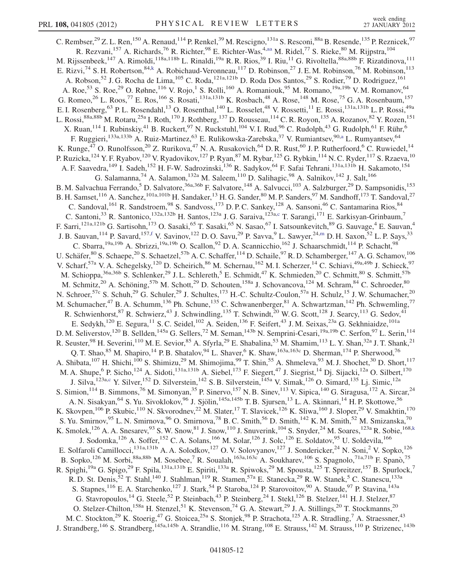<span id="page-11-0"></span>C. Rembser,  $^{29}$  Z. L. Ren,  $^{150}$  A. Renaud,  $^{114}$  P. Renkel,  $^{39}$  M. Rescigno,  $^{131a}$  S. Resconi,  $^{88a}$  B. Resende,  $^{135}$  P. Reznicek,  $^{97}$ R. Rezvani,<sup>157</sup> A. Richards,<sup>76</sup> R. Richter,<sup>98</sup> E. Richter-Was,<sup>4[,aa](#page-17-26)</sup> M. Ridel,<sup>77</sup> S. Rieke,<sup>80</sup> M. Rijpstra,<sup>104</sup> M. Rijssenbeek,<sup>147</sup> A. Rimoldi,<sup>118a,118b</sup> L. Rinaldi,<sup>19a</sup> R. R. Rios,<sup>39</sup> I. Riu,<sup>11</sup> G. Rivoltella,<sup>88a,88b</sup> F. Rizatdinova,<sup>111</sup> E. Rizvi,<sup>74</sup> S. H. Robertson,<sup>84[,k](#page-17-10)</sup> A. Robichaud-Veronneau,<sup>117</sup> D. Robinson,<sup>27</sup> J. E. M. Robinson,<sup>76</sup> M. Robinson,<sup>113</sup> A. Robson,<sup>52</sup> J. G. Rocha de Lima,<sup>105</sup> C. Roda,<sup>121a,121b</sup> D. Roda Dos Santos,<sup>29</sup> S. Rodier,<sup>79</sup> D. Rodriguez,<sup>161</sup> A. Roe,<sup>53</sup> S. Roe,<sup>29</sup> O. Røhne,<sup>116</sup> V. Rojo,<sup>1</sup> S. Rolli,<sup>160</sup> A. Romaniouk,<sup>95</sup> M. Romano,<sup>19a,19b</sup> V. M. Romanov,<sup>64</sup> G. Romeo,<sup>26</sup> L. Roos,<sup>77</sup> E. Ros,<sup>166</sup> S. Rosati,<sup>131a,131b</sup> K. Rosbach,<sup>48</sup> A. Rose,<sup>148</sup> M. Rose,<sup>75</sup> G. A. Rosenbaum,<sup>157</sup> E. I. Rosenberg,<sup>63</sup> P. L. Rosendahl,<sup>13</sup> O. Rosenthal,<sup>140</sup> L. Rosselet,<sup>48</sup> V. Rossetti,<sup>11</sup> E. Rossi,<sup>131a,131b</sup> L. P. Rossi,<sup>49a</sup> L. Rossi,<sup>88a,88b</sup> M. Rotaru,<sup>25a</sup> I. Roth,<sup>170</sup> J. Rothberg,<sup>137</sup> D. Rousseau,<sup>114</sup> C. R. Royon,<sup>135</sup> A. Rozanov,<sup>82</sup> Y. Rozen,<sup>151</sup> X. Ruan,<sup>114</sup> I. Rubinskiy,<sup>41</sup> B. Ruckert,<sup>97</sup> N. Ruckstuhl,<sup>104</sup> V. I. Rud,<sup>96</sup> C. Rudolph,<sup>43</sup> G. Rudolph,<sup>61</sup> F. Rühr,<sup>6</sup> F. Ruggieri,<sup>133[a](#page-17-4),133b</sup> A. Ruiz-Martinez,<sup>63</sup> E. Rulikowska-Zarebska,<sup>37</sup> V. Rumiantsev,<sup>90,a</sup> L. Rumyantsev,<sup>64</sup> K. Runge,<sup>47</sup> O. Runolfsson,<sup>20</sup> Z. Rurikova,<sup>47</sup> N. A. Rusakovich,<sup>64</sup> D. R. Rust,<sup>60</sup> J. P. Rutherfoord,<sup>6</sup> C. Ruwiedel,<sup>14</sup> P. Ruzicka, <sup>124</sup> Y. F. Ryabov, <sup>120</sup> V. Ryadovikov, <sup>127</sup> P. Ryan, <sup>87</sup> M. Rybar, <sup>125</sup> G. Rybkin, <sup>114</sup> N. C. Ryder, <sup>117</sup> S. Rzaeva, <sup>10</sup> A. F. Saavedra, <sup>149</sup> I. Sadeh, <sup>152</sup> H. F-W. Sadrozinski, <sup>136</sup> R. Sadykov, <sup>64</sup> F. Safai Tehrani, <sup>131a, 131b</sup> H. Sakamoto, <sup>154</sup> G. Salamanna,<sup>74</sup> A. Salamon,<sup>132a</sup> M. Saleem,<sup>110</sup> D. Salihagic,<sup>98</sup> A. Salnikov,<sup>142</sup> J. Salt,<sup>166</sup> B. M. Salvachua Ferrando,<sup>5</sup> D. Salvatore,<sup>36a,36b</sup> F. Salvatore,<sup>148</sup> A. Salvucci,<sup>103</sup> A. Salzburger,<sup>29</sup> D. Sampsonidis,<sup>153</sup> B. H. Samset,<sup>116</sup> A. Sanchez,<sup>101a,101b</sup> H. Sandaker,<sup>13</sup> H. G. Sander,<sup>80</sup> M. P. Sanders,<sup>97</sup> M. Sandhoff,<sup>173</sup> T. Sandoval,<sup>27</sup> C. Sandoval, <sup>161</sup> R. Sandstroem, <sup>98</sup> S. Sandvoss, <sup>173</sup> D. P. C. Sankey, <sup>128</sup> A. Sansoni, <sup>46</sup> C. Santamarina Rios, <sup>84</sup> C. Santoni,<sup>33</sup> R. Santonico,<sup>132a,132b</sup> H. Santos,<sup>123a</sup> J. G. Saraiva,<sup>123a[,c](#page-17-1)</sup> T. Sarangi,<sup>171</sup> E. Sarkisyan-Grinbaum,<sup>7</sup> F. Sarri,<sup>121a,121b</sup> G. Sartisohn,<sup>173</sup> O. Sasaki,<sup>65</sup> T. Sasaki,<sup>65</sup> N. Sasao,<sup>67</sup> I. Satsounkevitch,<sup>89</sup> G. Sauvage,<sup>4</sup> E. Sauvan,<sup>4</sup> J. B. Sauvan,<sup>114</sup> P. Savard,<sup>157,[f](#page-17-5)</sup> V. Savinov,<sup>122</sup> D. O. Savu,<sup>29</sup> P. Savva,<sup>9</sup> L. Sawyer,<sup>24,[m](#page-17-12)</sup> D. H. Saxon,<sup>52</sup> L. P. Says,<sup>33</sup> C. Sbarra,<sup>19a,19b</sup> A. Sbrizzi,<sup>19a,19b</sup> O. Scallon,<sup>92</sup> D. A. Scannicchio,<sup>162</sup> J. Schaarschmidt,<sup>114</sup> P. Schacht,<sup>98</sup> U. Schäfer, ${}^{80}$  S. Schaepe, ${}^{20}$  S. Schaetzel, ${}^{57b}$  A. C. Schaffer, ${}^{114}$  D. Schaile, ${}^{97}$  R. D. Schamberger, ${}^{147}$  A. G. Schamov, ${}^{106}$ V. Scharf,<sup>57a</sup> V. A. Schegelsky,<sup>120</sup> D. Scheirich,<sup>86</sup> M. Schernau,<sup>162</sup> M. I. Scherzer,<sup>14</sup> C. Schiavi,<sup>49a,49b</sup> J. Schieck,<sup>97</sup> M. Schioppa,<sup>36a,36b</sup> S. Schlenker,<sup>29</sup> J.L. Schlereth,<sup>5</sup> E. Schmidt,<sup>47</sup> K. Schmieden,<sup>20</sup> C. Schmitt,<sup>80</sup> S. Schmitt,<sup>57b</sup> M. Schmitz,<sup>20</sup> A. Schöning,<sup>57b</sup> M. Schott,<sup>29</sup> D. Schouten,<sup>158a</sup> J. Schovancova,<sup>124</sup> M. Schram,<sup>84</sup> C. Schroeder,<sup>80</sup> N. Schroer,<sup>57c</sup> S. Schuh,<sup>29</sup> G. Schuler,<sup>29</sup> J. Schultes,<sup>173</sup> H.-C. Schultz-Coulon,<sup>57a</sup> H. Schulz,<sup>15</sup> J. W. Schumacher,<sup>20</sup> M. Schumacher,<sup>47</sup> B. A. Schumm,<sup>136</sup> Ph. Schune,<sup>135</sup> C. Schwanenberger,<sup>81</sup> A. Schwartzman,<sup>142</sup> Ph. Schwemling,<sup>77</sup> R. Schwienhorst, <sup>87</sup> R. Schwierz, <sup>43</sup> J. Schwindling, <sup>135</sup> T. Schwindt, <sup>20</sup> W. G. Scott, <sup>128</sup> J. Searcy, <sup>113</sup> G. Sedov, <sup>41</sup> E. Sedykh,<sup>120</sup> E. Segura,<sup>11</sup> S. C. Seidel,<sup>102</sup> A. Seiden,<sup>136</sup> F. Seifert,<sup>43</sup> J. M. Seixas,<sup>23a</sup> G. Sekhniaidze,<sup>101a</sup> D. M. Seliverstov,<sup>120</sup> B. Sellden,<sup>145a</sup> G. Sellers,<sup>72</sup> M. Seman,<sup>143b</sup> N. Semprini-Cesari,<sup>19a,19b</sup> C. Serfon,<sup>97</sup> L. Serin,<sup>114</sup> R. Seuster, <sup>98</sup> H. Severini, <sup>110</sup> M. E. Sevior, <sup>85</sup> A. Sfyrla, <sup>29</sup> E. Shabalina, <sup>53</sup> M. Shamim, <sup>113</sup> L. Y. Shan, <sup>32a</sup> J. T. Shank, <sup>21</sup> Q. T. Shao,<sup>85</sup> M. Shapiro,<sup>14</sup> P. B. Shatalov,<sup>94</sup> L. Shaver,<sup>6</sup> K. Shaw,<sup>163a,163c</sup> D. Sherman,<sup>174</sup> P. Sherwood,<sup>76</sup> A. Shibata,<sup>107</sup> H. Shichi,<sup>100</sup> S. Shimizu,<sup>29</sup> M. Shimojima,<sup>99</sup> T. Shin,<sup>55</sup> A. Shmeleva,<sup>93</sup> M. J. Shochet,<sup>30</sup> D. Short,<sup>117</sup> M. A. Shupe, <sup>6</sup> P. Sicho, <sup>124</sup> A. Sidoti, <sup>131a,131b</sup> A. Siebel, <sup>173</sup> F. Siegert, <sup>47</sup> J. Siegrist, <sup>14</sup> Dj. Sijacki, <sup>12a</sup> O. Silbert, <sup>170</sup> J. Silva,<sup>123a[,c](#page-17-1)</sup> Y. Silver,<sup>152</sup> D. Silverstein,<sup>142</sup> S. B. Silverstein,<sup>145a</sup> V. Simak,<sup>126</sup> O. Simard,<sup>135</sup> Lj. Simic,<sup>12a</sup> S. Simion,<sup>114</sup> B. Simmons,<sup>76</sup> M. Simonyan,<sup>35</sup> P. Sinervo,<sup>157</sup> N. B. Sinev,<sup>113</sup> V. Sipica,<sup>140</sup> G. Siragusa,<sup>172</sup> A. Sircar,<sup>24</sup> A. N. Sisakyan,<sup>64</sup> S. Yu. Sivoklokov,<sup>96</sup> J. Sjölin,<sup>145a,145b</sup> T. B. Sjursen,<sup>13</sup> L. A. Skinnari,<sup>14</sup> H. P. Skottowe,<sup>56</sup> K. Skovpen,<sup>106</sup> P. Skubic,<sup>110</sup> N. Skvorodnev,<sup>22</sup> M. Slater,<sup>17</sup> T. Slavicek,<sup>126</sup> K. Sliwa,<sup>160</sup> J. Sloper,<sup>29</sup> V. Smakhtin,<sup>170</sup> S. Yu. Smirnov,<sup>95</sup> L. N. Smirnova,<sup>96</sup> O. Smirnova,<sup>78</sup> B. C. Smith,<sup>56</sup> D. Smith,<sup>142</sup> K. M. Smith,<sup>52</sup> M. Smizanska,<sup>70</sup> K. Smolek,<sup>126</sup> A. A. Snesarev,<sup>93</sup> S. W. Snow,<sup>81</sup> J. Snow,<sup>110</sup> J. Snuverink,<sup>104</sup> S. Snyder,<sup>24</sup> M. Soares,<sup>123a</sup> R. Sobie,<sup>168[,k](#page-17-10)</sup> J. Sodomka, <sup>126</sup> A. Soffer, <sup>152</sup> C. A. Solans, <sup>166</sup> M. Solar, <sup>126</sup> J. Solc, <sup>126</sup> E. Soldatov, <sup>95</sup> U. Soldevila, <sup>166</sup> E. Solfaroli Camillocci,<sup>131a,131b</sup> A. A. Solodkov,<sup>127</sup> O. V. Solovyanov,<sup>127</sup> J. Sondericker,<sup>24</sup> N. Soni,<sup>2</sup> V. Sopko,<sup>126</sup> B. Sopko, <sup>126</sup> M. Sorbi, <sup>88a,88b</sup> M. Sosebee, <sup>7</sup> R. Soualah, <sup>163a,163c</sup> A. Soukharev, <sup>106</sup> S. Spagnolo, <sup>71a,71b</sup> F. Spanò, <sup>75</sup> R. Spighi,<sup>19a</sup> G. Spigo,<sup>29</sup> F. Spila,<sup>131a,131b</sup> E. Spiriti,<sup>133a</sup> R. Spiwoks,<sup>29</sup> M. Spousta,<sup>125</sup> T. Spreitzer,<sup>157</sup> B. Spurlock,<sup>7</sup> R. D. St. Denis,<sup>52</sup> T. Stahl,<sup>140</sup> J. Stahlman,<sup>119</sup> R. Stamen,<sup>57a</sup> E. Stanecka,<sup>29</sup> R. W. Stanek,<sup>5</sup> C. Stanescu,<sup>133a</sup> S. Stapnes,<sup>116</sup> E. A. Starchenko,<sup>127</sup> J. Stark,<sup>54</sup> P. Staroba,<sup>124</sup> P. Starovoitov,<sup>90</sup> A. Staude,<sup>97</sup> P. Stavina,<sup>143a</sup> G. Stavropoulos,  $^{14}$  G. Steele,  $^{52}$  P. Steinbach,  $^{43}$  P. Steinberg,  $^{24}$  I. Stekl,  $^{126}$  B. Stelzer,  $^{141}$  H. J. Stelzer,  $^{87}$ O. Stelzer-Chilton,<sup>158a</sup> H. Stenzel,<sup>51</sup> K. Stevenson,<sup>74</sup> G. A. Stewart,<sup>29</sup> J. A. Stillings,<sup>20</sup> T. Stockmanns,<sup>20</sup> M. C. Stockton,<sup>29</sup> K. Stoerig,<sup>47</sup> G. Stoicea,<sup>25a</sup> S. Stonjek,<sup>98</sup> P. Strachota,<sup>125</sup> A. R. Stradling,<sup>7</sup> A. Straessner,<sup>43</sup> J. Strandberg,<sup>146</sup> S. Strandberg,<sup>145a,145b</sup> A. Strandlie,<sup>116</sup> M. Strang,<sup>108</sup> E. Strauss,<sup>142</sup> M. Strauss,<sup>110</sup> P. Strizenec,<sup>143b</sup>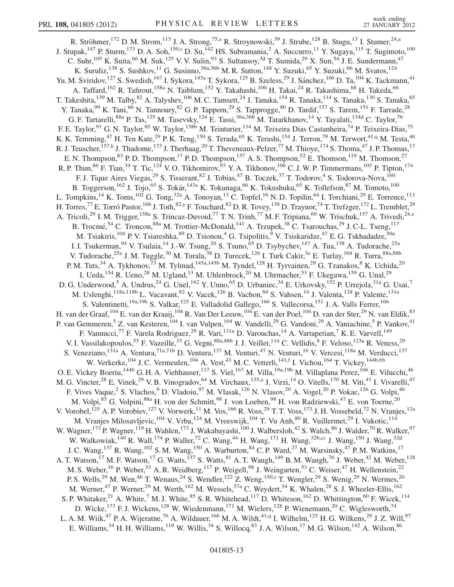<span id="page-12-1"></span><span id="page-12-0"></span>R. Ströhmer,<sup>172</sup> D. M. Strom,<sup>113</sup> J. A. Strong,<sup>75,[a](#page-17-4)</sup> R. Stroynowski,<sup>39</sup> J. Strube,<sup>128</sup> B. Stugu,<sup>13</sup> I. Stumer,<sup>24[,a](#page-17-4)</sup> J. Stupak,<[s](#page-17-18)up>147</sup> P. Sturm,<sup>173</sup> D. A. Soh,<sup>150,s</sup> D. Su,<sup>142</sup> HS. Subramania,<sup>2</sup> A. Succurro,<sup>11</sup> Y. Sugaya,<sup>115</sup> T. Sugimoto,<sup>100</sup> C. Suhr,<sup>105</sup> K. Suita,<sup>66</sup> M. Suk,<sup>125</sup> V. V. Sulin,<sup>93</sup> S. Sultansoy,<sup>3d</sup> T. Sumida,<sup>29</sup> X. Sun,<sup>54</sup> J. E. Sundermann,<sup>47</sup> K. Suruliz, <sup>138</sup> S. Sushkov, <sup>11</sup> G. Susinno, <sup>36a, 36b</sup> M. R. Sutton, <sup>148</sup> Y. Suzuki, <sup>65</sup> Y. Suzuki, <sup>66</sup> M. Svatos, <sup>124</sup> Yu. M. Sviridov,<sup>127</sup> S. Swedish,<sup>167</sup> I. Sykora,<sup>143a</sup> T. Sykora,<sup>125</sup> B. Szeless,<sup>29</sup> J. Sánchez,<sup>166</sup> D. Ta,<sup>104</sup> K. Tackmann,<sup>41</sup> A. Taffard, <sup>162</sup> R. Tafirout, <sup>158a</sup> N. Taiblum, <sup>152</sup> Y. Takahashi, <sup>100</sup> H. Takai, <sup>24</sup> R. Takashima, <sup>68</sup> H. Takeda, <sup>66</sup> T. Takeshita,<sup>139</sup> M. Talby,<sup>82</sup> A. Talyshev,<sup>106</sup> M. C. Tamsett,<sup>24</sup> J. Tanaka,<sup>154</sup> R. Tanaka,<sup>114</sup> S. Tanaka,<sup>130</sup> S. Tanaka,<sup>65</sup> Y. Tanaka,<sup>99</sup> K. Tani,<sup>66</sup> N. Tannoury,<sup>82</sup> G. P. Tappern,<sup>29</sup> S. Tapprogge,<sup>80</sup> D. Tardif,<sup>157</sup> S. Tarem,<sup>151</sup> F. Tarrade,<sup>28</sup> G. F. Tartarelli,<sup>88a</sup> P. Tas,<sup>125</sup> M. Tasevsky,<sup>124</sup> E. Tassi,<sup>36a,36b</sup> M. Tatarkhanov,<sup>14</sup> Y. Tayalati,<sup>134d</sup> C. Taylor,<sup>76</sup> F. E. Taylor,<sup>91</sup> G. N. Taylor,<sup>85</sup> W. Taylor,<sup>158b</sup> M. Teinturier,<sup>114</sup> M. Teixeira Dias Castanheira,<sup>74</sup> P. Teixeira-Dias,<sup>75</sup> K. K. Temming,<sup>47</sup> H. Ten Kate,<sup>29</sup> P. K. Teng,<sup>150</sup> S. Terada,<sup>65</sup> K. Terashi,<sup>154</sup> J. Terron,<sup>79</sup> M. Terwort,<sup>41,[q](#page-17-16)</sup> M. Testa,<sup>46</sup> R. J. Teuscher, <sup>157,[k](#page-17-10)</sup> J. Thadome, <sup>173</sup> J. Therhaag, <sup>20</sup> T. Theveneaux-Pelzer, <sup>77</sup> M. Thioye, <sup>174</sup> S. Thoma, <sup>47</sup> J. P. Thomas, <sup>17</sup> E. N. Thompson,<sup>83</sup> P. D. Thompson,<sup>17</sup> P. D. Thompson,<sup>157</sup> A. S. Thompson,<sup>52</sup> E. Thomson,<sup>119</sup> M. Thomson,<sup>27</sup> R. P. Thun,<sup>86</sup> F. Tian,<sup>34</sup> T. Tic,<sup>124</sup> V. O. Tikhomirov,<sup>93</sup> Y. A. Tikhonov,<sup>106</sup> C. J. W. P. Timmermans,<sup>103</sup> P. Tipton,<sup>174</sup> F. J. Tique Aires Viegas,<sup>29</sup> S. Tisserant,<sup>82</sup> J. Tobias,<sup>47</sup> B. Toczek,<sup>37</sup> T. Todorov,<sup>4</sup> S. Todorova-Nova,<sup>160</sup> B. Toggerson,<sup>162</sup> J. Tojo,<sup>65</sup> S. Tokár,<sup>143a</sup> K. Tokunaga,<sup>66</sup> K. Tokushuku,<sup>65</sup> K. Tollefson,<sup>87</sup> M. Tomoto,<sup>100</sup> L. Tompkins,<sup>14</sup> K. Toms,<sup>102</sup> G. Tong,<sup>32a</sup> A. Tonoyan,<sup>13</sup> C. Topfel,<sup>16</sup> N.D. Topilin,<sup>64</sup> I. Torchiani,<sup>29</sup> E. Torrence,<sup>113</sup> H. Torres,<sup>77</sup> E. Torró Pastor,<sup>166</sup> J. Toth,<sup>82[,y](#page-17-24)</sup> F. Touchard,<sup>82</sup> D. R. Tovey,<sup>138</sup> D. Traynor,<sup>74</sup> T. Trefzger,<sup>172</sup> L. Tremblet,<sup>29</sup> A. Tricoli,<sup>29</sup> I. M. Trigger,<sup>158a</sup> S. Trincaz-Duvoid,<sup>77</sup> T. N. Trinh,<sup>77</sup> M. F. Tripiana,<sup>69</sup> W. Trischuk,<sup>157</sup> A. Trivedi,<sup>24[,x](#page-17-23)</sup> B. Trocmé,<sup>54</sup> C. Troncon,<sup>88a</sup> M. Trottier-McDonald,<sup>141</sup> A. Trzupek,<sup>38</sup> C. Tsarouchas,<sup>29</sup> J. C-L. Tseng,<sup>117</sup> M. Tsiakiris,<sup>104</sup> P. V. Tsiareshka,<sup>89</sup> D. Tsionou,<sup>4</sup> G. Tsipolitis,<sup>9</sup> V. Tsiskaridze,<sup>47</sup> E. G. Tskhadadze,<sup>50a</sup> I. I. Tsukerman, <sup>94</sup> V. Tsulaia, <sup>14</sup> J.-W. Tsung, <sup>20</sup> S. Tsuno, <sup>65</sup> D. Tsybychev, <sup>147</sup> A. Tua, <sup>138</sup> A. Tudorache, <sup>25a</sup> V. Tudorache,<sup>25a</sup> J. M. Tuggle,<sup>30</sup> M. Turala,<sup>38</sup> D. Turecek,<sup>126</sup> I. Turk Cakir,<sup>3e</sup> E. Turlay,<sup>104</sup> R. Turra,<sup>88a,88b</sup> P. M. Tuts,<sup>34</sup> A. Tykhonov,<sup>73</sup> M. Tylmad,<sup>145a,145b</sup> M. Tyndel,<sup>128</sup> H. Tyrvainen,<sup>29</sup> G. Tzanakos,<sup>8</sup> K. Uchida,<sup>20</sup> I. Ueda,<sup>154</sup> R. Ueno,<sup>28</sup> M. Ugland,<sup>13</sup> M. Uhlenbrock,<sup>20</sup> M. Uhrmacher,<sup>53</sup> F. Ukegawa,<sup>159</sup> G. Unal,<sup>29</sup> D. G. Underwood,<sup>5</sup> A. Undrus,<sup>24</sup> G. Unel,<sup>162</sup> Y. Unno,<sup>65</sup> D. Urbaniec,<sup>34</sup> E. Urkovsky,<sup>152</sup> P. Urrejola,<sup>31a</sup> G. Usai,<sup>7</sup> M. Uslenghi, <sup>118a,118b</sup> L. Vacavant, <sup>82</sup> V. Vacek, <sup>126</sup> B. Vachon, <sup>84</sup> S. Vahsen, <sup>14</sup> J. Valenta, <sup>124</sup> P. Valente, <sup>131a</sup> S. Valentinetti,<sup>19a,19b</sup> S. Valkar,<sup>125</sup> E. Valladolid Gallego,<sup>166</sup> S. Vallecorsa,<sup>151</sup> J. A. Valls Ferrer,<sup>166</sup> H. van der Graaf, <sup>104</sup> E. van der Kraaij, <sup>104</sup> R. Van Der Leeuw, <sup>104</sup> E. van der Poel, <sup>104</sup> D. van der Ster, <sup>29</sup> N. van Eldik, <sup>83</sup> P. van Gemmeren,<sup>5</sup> Z. van Kesteren,<sup>104</sup> I. van Vulpen,<sup>104</sup> W. Vandelli,<sup>29</sup> G. Vandoni,<sup>29</sup> A. Vaniachine,<sup>5</sup> P. Vankov,<sup>41</sup> F. Vannucci,<sup>77</sup> F. Varela Rodriguez,<sup>29</sup> R. Vari,<sup>131a</sup> D. Varouchas,<sup>14</sup> A. Vartapetian,<sup>7</sup> K. E. Varvell,<sup>149</sup> V. I. Vassilakopoulos,<sup>55</sup> F. Vazeille,<sup>33</sup> G. Vegni,<sup>88a,88b</sup> J. J. Veillet,<sup>114</sup> C. Vellidis,<sup>8</sup> F. Veloso,<sup>123a</sup> R. Veness,<sup>29</sup> S. Veneziano, <sup>131a</sup> A. Ventura, <sup>71a,71b</sup> D. Ventura, <sup>137</sup> M. Venturi, <sup>47</sup> N. Venturi, <sup>16</sup> V. Vercesi, <sup>118a</sup> M. Verducci, <sup>137</sup> W. Verkerke,<sup>104</sup> J. C. Vermeulen,<sup>104</sup> A. Vest,<sup>43</sup> M. C. Vetterli,<sup>141,[f](#page-17-5)</sup> I. Vichou,<sup>164</sup> T. Vickey,<sup>144b,[bb](#page-17-27)</sup> O. E. Vickey Boeriu,<sup>144b</sup> G. H. A. Viehhauser,<sup>117</sup> S. Viel,<sup>167</sup> M. Villa,<sup>19a,19b</sup> M. Villaplana Perez,<sup>166</sup> E. Vilucchi,<sup>46</sup> M. G. Vincter,<sup>28</sup> E. Vinek,<sup>29</sup> V. B. Vinogr[a](#page-17-4)dov,<sup>64</sup> M. Virchaux,<sup>135,a</sup> J. Virzi,<sup>14</sup> O. Vitells,<sup>170</sup> M. Viti,<sup>41</sup> I. Vivarelli,<sup>47</sup> F. Vives Vaque,<sup>2</sup> S. Vlachos,<sup>9</sup> D. Vladoiu,<sup>97</sup> M. Vlasak,<sup>126</sup> N. Vlasov,<sup>20</sup> A. Vogel,<sup>20</sup> P. Vokac,<sup>126</sup> G. Volpi,<sup>46</sup> M. Volpi, <sup>85</sup> G. Volpini, <sup>88a</sup> H. von der Schmitt, <sup>98</sup> J. von Loeben, <sup>98</sup> H. von Radziewski, <sup>47</sup> E. von Toerne, <sup>20</sup> V. Vorobel,<sup>125</sup> A. P. Vorobiev,<sup>127</sup> V. Vorwerk,<sup>11</sup> M. Vos,<sup>166</sup> R. Voss,<sup>29</sup> T. T. Voss,<sup>173</sup> J. H. Vossebeld,<sup>72</sup> N. Vranjes,<sup>12a</sup> M. Vranjes Milosavljevic, <sup>104</sup> V. Vrba, <sup>124</sup> M. Vreeswijk, <sup>104</sup> T. Vu Anh, <sup>80</sup> R. Vuillermet, <sup>29</sup> I. Vukotic, <sup>114</sup> W. Wagner,<sup>173</sup> P. Wagner,<sup>119</sup> H. Wahlen,<sup>173</sup> J. Wakabayashi,<sup>100</sup> J. Walbersloh,<sup>42</sup> S. Walch,<sup>86</sup> J. Walder,<sup>70</sup> R. Walker,<sup>97</sup> W. Walkowiak,<sup>140</sup> R. Wall,<sup>174</sup> P. Waller,<sup>72</sup> C. Wang,<sup>44</sup> H. Wang,<sup>171</sup> H. Wang,<sup>32b,[cc](#page-17-28)</sup> J. Wang,<sup>150</sup> J. Wang,<sup>32d</sup> J. C. Wang,<sup>137</sup> R. Wang,<sup>102</sup> S. M. Wang,<sup>150</sup> A. Warburton,<sup>84</sup> C. P. Ward,<sup>27</sup> M. Warsinsky,<sup>47</sup> P. M. Watkins,<sup>17</sup> A. T. Watson,<sup>17</sup> M. F. Watson,<sup>17</sup> G. Watts,<sup>137</sup> S. Watts,<sup>81</sup> A. T. Waugh,<sup>149</sup> B. M. Waugh,<sup>76</sup> J. Weber,<sup>42</sup> M. Weber,<sup>128</sup> M. S. Weber, <sup>16</sup> P. Weber, <sup>53</sup> A. R. Weidberg, <sup>117</sup> P. Weigell, <sup>98</sup> J. Weingarten, <sup>53</sup> C. Weiser, <sup>47</sup> H. Wellenstein, <sup>22</sup> P. S. Well[s](#page-17-18),<sup>29</sup> M. Wen,<sup>46</sup> T. Wenaus,<sup>24</sup> S. Wendler,<sup>122</sup> Z. Weng,<sup>150,s</sup> T. Wengler,<sup>29</sup> S. Wenig,<sup>29</sup> N. Wermes,<sup>20</sup> M. Werner,<sup>47</sup> P. Werner,<sup>29</sup> M. Werth,<sup>162</sup> M. Wessels,<sup>57a</sup> C. Weydert,<sup>54</sup> K. Whalen,<sup>28</sup> S. J. Wheeler-Ellis,<sup>162</sup> S. P. Whitaker,  $^{21}$  A. White,  $^{7}$  M. J. White,  $^{85}$  S. R. Whitehead,  $^{117}$  D. Whiteson,  $^{162}$  D. Whittington,  $^{60}$  F. Wicek,  $^{114}$ D. Wicke,<sup>173</sup> F. J. Wickens,<sup>128</sup> W. Wiedenmann,<sup>171</sup> M. Wielers,<sup>128</sup> P. Wienemann,<sup>20</sup> C. Wiglesworth,<sup>74</sup> L. A. M. Wiik,<sup>47</sup> P. A. Wijeratne,<sup>76</sup> A. Wildauer,<sup>166</sup> M. A. Wildt,<sup>41,[q](#page-17-16)</sup> I. Wilhelm,<sup>125</sup> H. G. Wilkens,<sup>29</sup> J. Z. Will,<sup>97</sup> E. Williams,<sup>34</sup> H. H. Williams,<sup>119</sup> W. Willis,<sup>34</sup> S. Willocq,<sup>83</sup> J. A. Wilson,<sup>17</sup> M. G. Wilson,<sup>142</sup> A. Wilson,<sup>86</sup>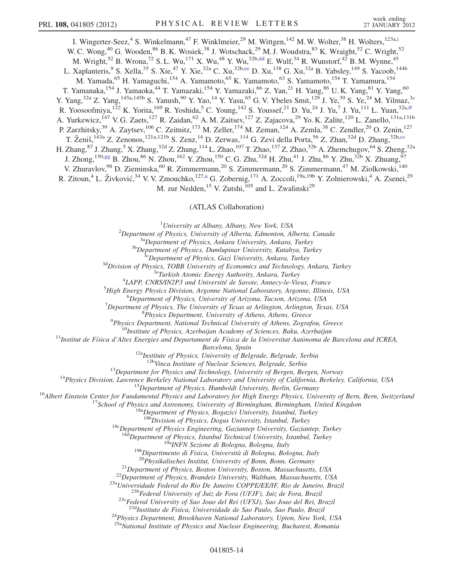<span id="page-13-2"></span><span id="page-13-1"></span><span id="page-13-0"></span>I. W[i](#page-17-8)ngerter-Seez,<sup>4</sup> S. Winkelmann,<sup>47</sup> F. Winklmeier,<sup>29</sup> M. Wittgen,<sup>142</sup> M. W. Wolter,<sup>38</sup> H. Wolters,<sup>123a,i</sup> W. C. Wong,<sup>40</sup> G. Wooden,<sup>86</sup> B. K. Wosiek,<sup>38</sup> J. Wotschack,<sup>29</sup> M. J. Woudstra,<sup>83</sup> K. Wraight,<sup>52</sup> C. Wright,<sup>52</sup> M. Wright,<sup>52</sup> B. Wrona,<sup>72</sup> S. L. Wu,<sup>171</sup> X. Wu,<sup>48</sup> Y. Wu,<sup>32b[,dd](#page-17-29)</sup> E. Wulf,<sup>34</sup> R. Wunstorf,<sup>42</sup> B. M. Wynne,<sup>45</sup> L. Xaplanteris, <sup>9</sup> S. Xella, <sup>35</sup> S. Xie, <sup>47</sup> Y. Xie, <sup>32a</sup> C. Xu, <sup>32b,[ee](#page-17-30)</sup> D. Xu, <sup>138</sup> G. Xu, <sup>32a</sup> B. Yabsley, <sup>149</sup> S. Yacoob, <sup>144b</sup> M. Yamada, <sup>65</sup> H. Yamaguchi, <sup>154</sup> A. Yamamoto, <sup>65</sup> K. Yamamoto, <sup>63</sup> S. Yamamoto, <sup>154</sup> T. Yamamura, <sup>154</sup> T. Yamanaka, <sup>154</sup> J. Yamaoka, <sup>44</sup> T. Yamazaki, <sup>154</sup> Y. Yamazaki, <sup>66</sup> Z. Yan, <sup>21</sup> H. Yang, <sup>86</sup> U.K. Yang, <sup>81</sup> Y. Yang, <sup>60</sup> Y. Yang,<sup>32a</sup> Z. Yang,<sup>145a,145b</sup> S. Yanush,<sup>90</sup> Y. Yao,<sup>14</sup> Y. Yasu,<sup>65</sup> G. V. Ybeles Smit,<sup>129</sup> J. Ye,<sup>39</sup> S. Ye,<sup>24</sup> M. Yilmaz,<sup>3c</sup> R. Yoosoofmiya,<sup>122</sup> K. Yorita,<sup>169</sup> R. Yoshida,<sup>5</sup> C. Young,<sup>142</sup> S. Youssef,<sup>21</sup> D. Yu,<sup>24</sup> J. Yu,<sup>7</sup> J. Yu,<sup>111</sup> L. Yuan,<sup>32a,[ff](#page-17-31)</sup> A. Yurkewicz,<sup>147</sup> V. G. Zaets,<sup>127</sup> R. Zaidan,<sup>62</sup> A. M. Zaitsev,<sup>127</sup> Z. Zajacova,<sup>29</sup> Yo. K. Zalite,<sup>120</sup> L. Zanello,<sup>131a,131b</sup> P. Zarzhitsky,<sup>39</sup> A. Zaytsev,<sup>106</sup> C. Zeitnitz,<sup>173</sup> M. Zeller,<sup>174</sup> M. Zeman,<sup>124</sup> A. Zemla,<sup>38</sup> C. Zendler,<sup>20</sup> O. Zenin,<sup>127</sup> T. Ženiš,<sup>143a</sup> Z. Zenonos,<sup>121a,121b</sup> S. Zenz,<sup>14</sup> D. Zerwas,<sup>114</sup> G. Zevi della Porta,<sup>56</sup> Z. Zhan,<sup>32d</sup> D. Zhang,<sup>32b[,cc](#page-17-28)</sup> H. Zhang,<sup>87</sup> J. Zhang,<sup>5</sup> X. Zhang,<sup>32d</sup> Z. Zhang,<sup>114</sup> L. Zhao,<sup>107</sup> T. Zhao,<sup>137</sup> Z. Zhao,<sup>32b</sup> A. Zhemchugov,<sup>64</sup> S. Zheng,<sup>32a</sup> J. Zhong, <sup>150[,gg](#page-17-32)</sup> B. Zhou, <sup>86</sup> N. Zhou, <sup>162</sup> Y. Zhou, <sup>150</sup> C. G. Zhu,<sup>32d</sup> H. Zhu,<sup>41</sup> J. Zhu,<sup>86</sup> Y. Zhu,<sup>32b</sup> X. Zhuang,<sup>97</sup> V. Zhuravlov,<sup>98</sup> D. Zieminska,<sup>60</sup> R. Zimmermann,<sup>20</sup> S. Zimmermann,<sup>20</sup> S. Zimmermann,<sup>47</sup> M. Ziolkowski,<sup>140</sup> R. Zitoun,<sup>4</sup> L. Živković,<sup>34</sup> V. V. Zmouchko,<sup>127,[a](#page-17-4)</sup> G. Zobernig,<sup>171</sup> A. Zoccoli,<sup>19a,19b</sup> Y. Zolnierowski,<sup>4</sup> A. Zsenei,<sup>29</sup> M. zur Nedden,  $15$  V. Zutshi,  $105$  and L. Zwalinski<sup>29</sup>

(ATLAS Collaboration)

<sup>1</sup>University at Albany, Albany, New York, USA

 ${}^{2}$ Department of Physics, University of Alberta, Edmonton, Alberta, Canada

<span id="page-13-3"></span><sup>3a</sup>Department of Physics, Ankara University, Ankara, Turkey<br><sup>3b</sup>Department of Physics, Dumlupinar University, Kutahya, Turkey<br><sup>3c</sup>Department of Physics, Gazi University, Ankara, Turkey<br><sup>3d</sup>Division of Physics, TOBB Unive

<sup>4</sup>LAPP, CNRS/IN2P3 and Université de Savoie, Annecy-le-Vieux, France

 ${}^{5}$ High Energy Physics Division, Argonne National Laboratory, Argonne, Illinois, USA

<sup>6</sup>Department of Physics, University of Arizona, Tucson, Arizona, USA

<sup>7</sup>Department of Physics, The University of Texas at Arlington, Arlington, Texas, USA  ${}^{8}P$ hysics Department. University of Athens. Athens. Greece

 $^{9}$ Physics Department, National Technical University of Athens, Zografou, Greece

<sup>10</sup>Institute of Physics, Azerbaijan Academy of Sciences, Baku, Azerbaijan<br><sup>11</sup>Institut de Física d'Altes Energies and Departament de Física de la Universitat Autònoma de Barcelona and ICREA,

Barcelona, Spain<br><sup>12a</sup>Institute of Physics, University of Belgrade, Belgrade, Serbia<br><sup>12b</sup>Vinca Institute of Nuclear Sciences, Belgrade, Serbia

<sup>14</sup>Physics Division, Lawrence Berkeley National Laboratory and University of Bergen, Bergen, Norway<br><sup>14</sup>Physics Division, Lawrence Berkeley National Laboratory and University of California, Berkeley, California, USA<br><sup>15</sup>

 $18c$ Department of Physics Engineering, Gaziantep University, Gaziantep, Turkey

<sup>18d</sup>Department of Physics, Istanbul Technical University, Istanbul, Turkey<br><sup>19d</sup>Department of Physics, Istanbul Technical University, Istanbul, Turkey<br><sup>19d</sup>Dipartimento di Fisica, Università di Bologna, Bologna, Italy<br><sup>2</sup>

<sup>23d</sup>Instituto de Fisica, Universidade de Sao Paulo, Sao Paulo, Brazil<br><sup>24</sup>Physics Department, Brookhaven National Laboratory, Upton, New York, USA

<sup>25a</sup>National Institute of Physics and Nuclear Engineering, Bucharest, Romania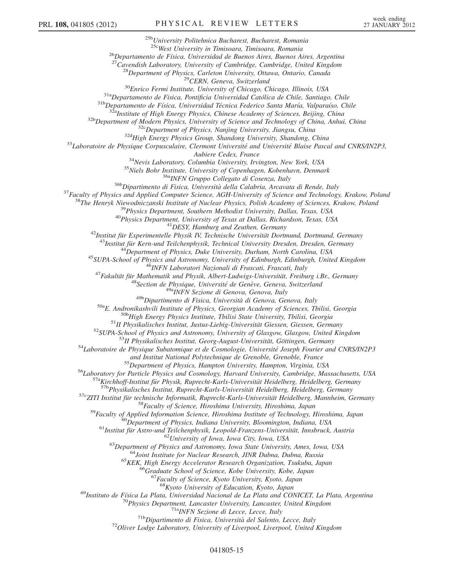$^{25b}$ University Politehnica Bucharest, Bucharest, Romania<br> $^{25c}$ West University in Timisoara, Timisoara, Romania <sup>26</sup>Departamento de Física, Universidad de Buenos Aires, Buenos Aires, Argentina<br><sup>27</sup>Cavendish Laboratory, University of Cambridge, Cambridge, United Kingdom<br><sup>28</sup>Department of Physics, Carleton University, Ottawa, Ontario Alpier Cedex, France (Ampliter Cedex, France (Ampliter Schenkavn, Denmark (1983)<br>
<sup>34</sup>Nevis Laboratory, Columbia University of Copenhagen, Robenhavn, Denmark<br>
<sup>35</sup>Niels Bohr Institute, University of Copenhagen, Robenhavn, and Institut National Polytechnique de Grenoble, Grenoble, France<br>
<sup>55</sup> Department of Physics, Hampton University, Hampton, Virginia, USA<br>
<sup>56</sup> Laboratory for Particle Physics and Cosmology, Harvard University, Cambridge, <sup>67</sup> Faculty of Science, Kyoto University, Kyoto, Japan<br><sup>68</sup>Kyoto University of Education, Kyoto, Japan<br><sup>69</sup> Instituto de Física La Plata, Universidad Nacional de La Plata and CONICET, La Plata, Argentina<br><sup>70</sup> Physics Dep <sup>71a</sup>INFN Sezione di Lecce, Lecce, Italy<br><sup>71b</sup>Dipartimento di Fisica, Università del Salento, Lecce, Italy<br><sup>72</sup>Oliver Lodge Laboratory, University of Liverpool, Liverpool, United Kingdom

## 041805-15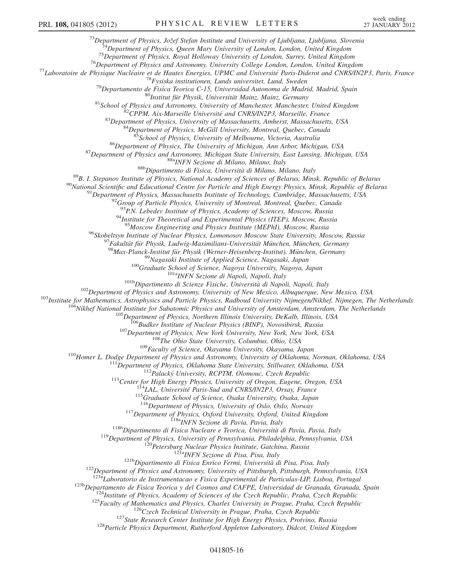$\begin{small} & \text{``Department of Physics, } \textit{Dogt}^{\textit{3}}_2 \textit{Department of Physics, } \textit{Dogt}^{\textit{5}}_2 \textit{See}^{\textit{5}}_2 \textit{See}^{\textit{5}}_2 \textit{See}^{\textit{5}}_2 \textit{See}^{\textit{5}}_2 \textit{See}^{\textit{5}}_2 \textit{See}^{\textit{5}}_2 \textit{See}^{\textit{5}}_2 \textit{See}^{\textit{5}}_2 \textit{See}^{\textit{5}}_2 \textit{See}^{\textit{5}}_2 \textit{See}^{\textit{5}}_$ 

<sup>93</sup>P.N. Lebedev Institute of Physics, Academy of Sciences, Moscow, Russia <sup>94</sup>Institute for Theoretical and Experimental Physics (ITEP), Moscow, Russia

<sup>95</sup>Moscow Engineering and Physics Institute (MEPhI), Moscow, Russia<br>
<sup>95</sup>Moscow Engineering and Physics Lomonsov Moscow State University, Moscow, Russia<br>
<sup>97</sup> Fakultidi für Physik, Ludwig-Maximilians-Universität München,

<sup>115</sup>Graduate School of Science, Osaka University, Osaka, Japan<br><sup>115</sup>Department of Physics, University of Oslo, Oslo, Norway<br><sup>117</sup>Department of Physics, Oxford University, Oxford, United Kingdom<br><sup>118</sup>Department of Physics

<sup>123b</sup>Departamento de Fisica Teorica y del Cosmos and CAFPE, Universidad de Granada, Granada, Spain<br><sup>124</sup>Institute of Physics, Academy of Sciences of the Czech Republic, Praha, Czech Republic<br><sup>125</sup>Faculty of Mathematics a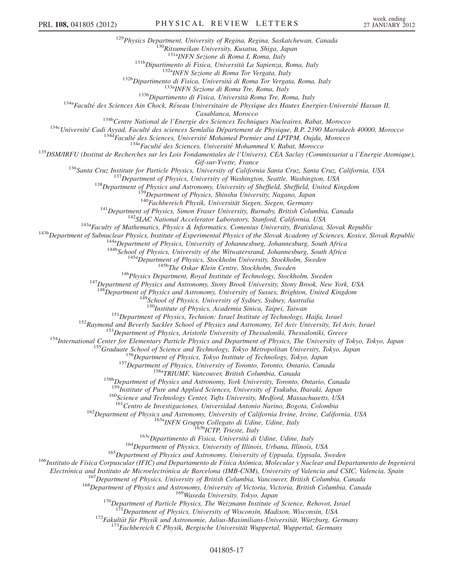<sup>129</sup>Physics Department, University of Regina, Regina, Saskatchewan, Canada<br><sup>130</sup>Ritsumeikan University, Kusatsu, Shiga, Japan<br><sup>131a</sup>INFN Sezione di Roma I, Roma, Italy <sup>131b</sup>Dipartimento di Fisica, Università La Sapienza, Roma, Italy<br><sup>132b</sup>Dipartimento di Fisica, Università di Roma Tor Vergata, Roma, Italy<br><sup>132b</sup>Dipartimento di Fisica, Università di Roma Tor Vergata, Roma, Italy<br><sup>133b</sup>D Casablanca, Morocco<br><sup>1346</sup>Centre National de l'Energie des Sciences Techniques Nucleaires, Rabat, Morocco<br><sup>1346</sup>Université Cadi Ayyad, Faculté des sciences Semlalia Département de Physique, B.P. 2390 Marrakech 40000, Moroc Gif-sur-Yvette, France<br>
136 Santa Cruz, Institute for Particle Physics, University of Vashington, Seattle, Washington, USA<br>
137 Department of Physics, University of Washington, Seattle, Washington, USA<br>
138 Department of P <sup>147</sup>Department of Physics and Astronomy, Stony Brook University, Stony Brook, New York, USA<br><sup>148</sup>Department of Physics and Astronomy, University of Sussex, Brighton, United Kingdom<br><sup>149</sup>School of Physics, University of S <sup>151</sup>Department of Physics, Technion: Israel Institute of Technology, Haifa, Israel<br><sup>152</sup>Raymond and Beverly Sackler School of Physics and Astronomy, Tel Aviv University, Tel Aviv, Israel<br><sup>153</sup>Department of Physics, Aristo 160<br>Science and Technology Center, Tufts University, Medford, Massachusetts, USA<br><sup>161</sup>Centro de Investigaciones, Universidad Antonio Narino, Bogota, Colombia <sup>162</sup>Department of Physics and Astronomy, University of California Irvine, Irvine, California, USA<br><sup>163</sup>a INFN Gruppo Collegato di Udine, Udine, Italy<br><sup>163</sup>Department of Physics, University of Illinois, Urbana, Illinois, <sup>167</sup>Department of Physics, University of British Columbia, Vancouver, British Columbia, Canada<br><sup>168</sup>Department of Physics and Astronomy, University of Victoria, Victoria, British Columbia, Canada<br><sup>169</sup>Waseda University, T

<sup>171</sup>Department of Physics, University of Wisconsin, Madison, Wisconsin, USA<br><sup>172</sup>Fakultät für Physik und Astronomie, Julius-Maximilians-Universität, Würzburg, Germany<br><sup>173</sup>Fachbereich C Physik, Bergische Universität Wupp